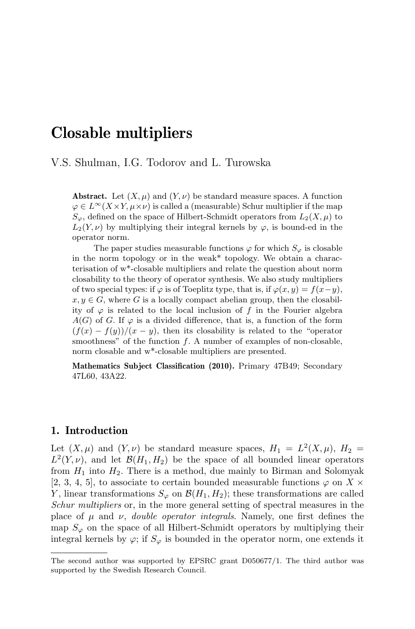# Closable multipliers

## V.S. Shulman, I.G. Todorov and L. Turowska

**Abstract.** Let  $(X, \mu)$  and  $(Y, \nu)$  be standard measure spaces. A function  $\varphi \in L^{\infty}(X \times Y, \mu \times \nu)$  is called a (measurable) Schur multiplier if the map  $S_{\varphi}$ , defined on the space of Hilbert-Schmidt operators from  $L_2(X, \mu)$  to  $L_2(Y, \nu)$  by multiplying their integral kernels by  $\varphi$ , is bound-ed in the operator norm.

The paper studies measurable functions  $\varphi$  for which  $S_{\varphi}$  is closable in the norm topology or in the weak\* topology. We obtain a characterisation of w\*-closable multipliers and relate the question about norm closability to the theory of operator synthesis. We also study multipliers of two special types: if  $\varphi$  is of Toeplitz type, that is, if  $\varphi(x, y) = f(x-y)$ ,  $x, y \in G$ , where G is a locally compact abelian group, then the closability of  $\varphi$  is related to the local inclusion of f in the Fourier algebra  $A(G)$  of G. If  $\varphi$  is a divided difference, that is, a function of the form  $(f(x) - f(y))/(x - y)$ , then its closability is related to the "operator" smoothness" of the function  $f$ . A number of examples of non-closable, norm closable and w\*-closable multipliers are presented.

Mathematics Subject Classification (2010). Primary 47B49; Secondary 47L60, 43A22.

## 1. Introduction

Let  $(X, \mu)$  and  $(Y, \nu)$  be standard measure spaces,  $H_1 = L^2(X, \mu)$ ,  $H_2 =$  $L^2(Y, \nu)$ , and let  $\mathcal{B}(H_1, H_2)$  be the space of all bounded linear operators from  $H_1$  into  $H_2$ . There is a method, due mainly to Birman and Solomyak [2, 3, 4, 5], to associate to certain bounded measurable functions  $\varphi$  on X  $\times$ Y, linear transformations  $S_{\varphi}$  on  $\mathcal{B}(H_1, H_2)$ ; these transformations are called Schur multipliers or, in the more general setting of spectral measures in the place of  $\mu$  and  $\nu$ , *double operator integrals*. Namely, one first defines the map  $S_{\varphi}$  on the space of all Hilbert-Schmidt operators by multiplying their integral kernels by  $\varphi$ ; if  $S_{\varphi}$  is bounded in the operator norm, one extends it

The second author was supported by EPSRC grant D050677/1. The third author was supported by the Swedish Research Council.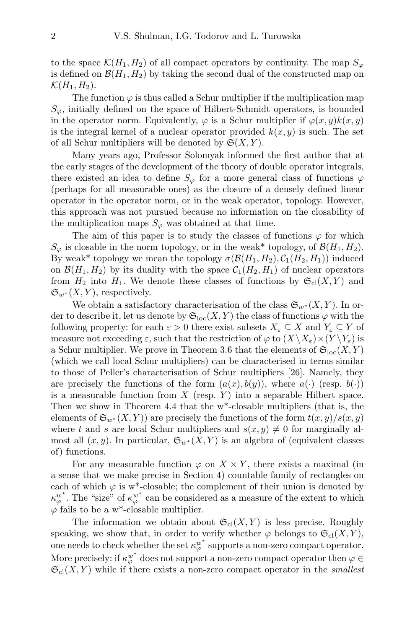to the space  $\mathcal{K}(H_1, H_2)$  of all compact operators by continuity. The map  $S_{\varphi}$ is defined on  $\mathcal{B}(H_1, H_2)$  by taking the second dual of the constructed map on  $\mathcal{K}(H_1, H_2)$ .

The function  $\varphi$  is thus called a Schur multiplier if the multiplication map  $S_{\varphi}$ , initially defined on the space of Hilbert-Schmidt operators, is bounded in the operator norm. Equivalently,  $\varphi$  is a Schur multiplier if  $\varphi(x, y)k(x, y)$ is the integral kernel of a nuclear operator provided  $k(x, y)$  is such. The set of all Schur multipliers will be denoted by  $\mathfrak{S}(X,Y)$ .

Many years ago, Professor Solomyak informed the first author that at the early stages of the development of the theory of double operator integrals, there existed an idea to define  $S_{\varphi}$  for a more general class of functions  $\varphi$ (perhaps for all measurable ones) as the closure of a densely defined linear operator in the operator norm, or in the weak operator, topology. However, this approach was not pursued because no information on the closability of the multiplication maps  $S_{\varphi}$  was obtained at that time.

The aim of this paper is to study the classes of functions  $\varphi$  for which  $S_{\varphi}$  is closable in the norm topology, or in the weak\* topology, of  $\mathcal{B}(H_1, H_2)$ . By weak\* topology we mean the topology  $\sigma(\mathcal{B}(H_1, H_2), C_1(H_2, H_1))$  induced on  $\mathcal{B}(H_1, H_2)$  by its duality with the space  $\mathcal{C}_1(H_2, H_1)$  of nuclear operators from  $H_2$  into  $H_1$ . We denote these classes of functions by  $\mathfrak{S}_{\text{cl}}(X, Y)$  and  $\mathfrak{S}_{w^*}(X, Y)$ , respectively.

We obtain a satisfactory characterisation of the class  $\mathfrak{S}_{w^*}(X, Y)$ . In order to describe it, let us denote by  $\mathfrak{S}_{\mathrm{loc}}(X,Y)$  the class of functions  $\varphi$  with the following property: for each  $\varepsilon > 0$  there exist subsets  $X_{\varepsilon} \subseteq X$  and  $Y_{\varepsilon} \subseteq Y$  of measure not exceeding  $\varepsilon$ , such that the restriction of  $\varphi$  to  $(X \backslash X_{\varepsilon}) \times (Y \backslash Y_{\varepsilon})$  is a Schur multiplier. We prove in Theorem 3.6 that the elements of  $\mathfrak{S}_{\mathrm{loc}}(X, Y)$ (which we call local Schur multipliers) can be characterised in terms similar to those of Peller's characterisation of Schur multipliers [26]. Namely, they are precisely the functions of the form  $(a(x), b(y))$ , where  $a(\cdot)$  (resp.  $b(\cdot)$ ) is a measurable function from  $X$  (resp. Y) into a separable Hilbert space. Then we show in Theorem 4.4 that the w\*-closable multipliers (that is, the elements of  $\mathfrak{S}_{w^*}(X,Y)$  are precisely the functions of the form  $t(x,y)/s(x,y)$ where t and s are local Schur multipliers and  $s(x, y) \neq 0$  for marginally almost all  $(x, y)$ . In particular,  $\mathfrak{S}_{w^*}(X, Y)$  is an algebra of (equivalent classes of) functions.

For any measurable function  $\varphi$  on  $X \times Y$ , there exists a maximal (in a sense that we make precise in Section 4) countable family of rectangles on each of which  $\varphi$  is w<sup>\*</sup>-closable; the complement of their union is denoted by  $\kappa_{\varphi}^{w^*}$ . The "size" of  $\kappa_{\varphi}^{w^*}$  can be considered as a measure of the extent to which  $\varphi$  fails to be a w<sup>\*</sup>-closable multiplier.

The information we obtain about  $\mathfrak{S}_{\text{cl}}(X, Y)$  is less precise. Roughly speaking, we show that, in order to verify whether  $\varphi$  belongs to  $\mathfrak{S}_{\text{cl}}(X, Y)$ , one needs to check whether the set  $\kappa_{\varphi}^{w^*}$  supports a non-zero compact operator. More precisely: if  $\kappa_{\varphi}^{w^*}$  does not support a non-zero compact operator then  $\varphi \in$  $\mathfrak{S}_{\text{cl}}(X, Y)$  while if there exists a non-zero compact operator in the smallest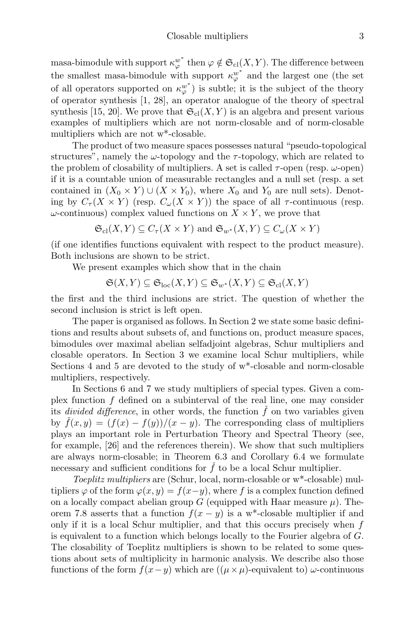masa-bimodule with support  $\kappa_{\varphi}^{w^*}$  then  $\varphi \notin \mathfrak{S}_{\text{cl}}(X,Y)$ . The difference between the smallest masa-bimodule with support  $\kappa_{\varphi}^{w^*}$  and the largest one (the set of all operators supported on  $\kappa_{\varphi}^{w^*}$  is subtle; it is the subject of the theory of operator synthesis [1, 28], an operator analogue of the theory of spectral synthesis [15, 20]. We prove that  $\mathfrak{S}_{\text{cl}}(X, Y)$  is an algebra and present various examples of multipliers which are not norm-closable and of norm-closable multipliers which are not w\*-closable.

The product of two measure spaces possesses natural "pseudo-topological structures", namely the  $\omega$ -topology and the  $\tau$ -topology, which are related to the problem of closability of multipliers. A set is called  $\tau$ -open (resp.  $\omega$ -open) if it is a countable union of measurable rectangles and a null set (resp. a set contained in  $(X_0 \times Y) \cup (X \times Y_0)$ , where  $X_0$  and  $Y_0$  are null sets). Denoting by  $C_{\tau}(X \times Y)$  (resp.  $C_{\omega}(X \times Y)$ ) the space of all  $\tau$ -continuous (resp.  $\omega$ -continuous) complex valued functions on  $X \times Y$ , we prove that

$$
\mathfrak{S}_{\mathrm{cl}}(X,Y) \subseteq C_{\tau}(X \times Y)
$$
 and  $\mathfrak{S}_{w^*}(X,Y) \subseteq C_{\omega}(X \times Y)$ 

(if one identifies functions equivalent with respect to the product measure). Both inclusions are shown to be strict.

We present examples which show that in the chain

$$
\mathfrak{S}(X,Y) \subseteq \mathfrak{S}_{\mathrm{loc}}(X,Y) \subseteq \mathfrak{S}_{w^*}(X,Y) \subseteq \mathfrak{S}_{\mathrm{cl}}(X,Y)
$$

the first and the third inclusions are strict. The question of whether the second inclusion is strict is left open.

The paper is organised as follows. In Section 2 we state some basic definitions and results about subsets of, and functions on, product measure spaces, bimodules over maximal abelian selfadjoint algebras, Schur multipliers and closable operators. In Section 3 we examine local Schur multipliers, while Sections 4 and 5 are devoted to the study of w\*-closable and norm-closable multipliers, respectively.

In Sections 6 and 7 we study multipliers of special types. Given a complex function  $f$  defined on a subinterval of the real line, one may consider its *divided difference*, in other words, the function  $\hat{f}$  on two variables given by  $\dot{f}(x, y) = (f(x) - f(y))/(x - y)$ . The corresponding class of multipliers plays an important role in Perturbation Theory and Spectral Theory (see, for example, [26] and the references therein). We show that such multipliers are always norm-closable; in Theorem 6.3 and Corollary 6.4 we formulate necessary and sufficient conditions for  $\hat{f}$  to be a local Schur multiplier.

Toeplitz multipliers are (Schur, local, norm-closable or w\*-closable) multipliers  $\varphi$  of the form  $\varphi(x, y) = f(x-y)$ , where f is a complex function defined on a locally compact abelian group G (equipped with Haar measure  $\mu$ ). Theorem 7.8 asserts that a function  $f(x - y)$  is a w<sup>\*</sup>-closable multiplier if and only if it is a local Schur multiplier, and that this occurs precisely when  $f$ is equivalent to a function which belongs locally to the Fourier algebra of G. The closability of Toeplitz multipliers is shown to be related to some questions about sets of multiplicity in harmonic analysis. We describe also those functions of the form  $f(x-y)$  which are  $((\mu \times \mu)$ -equivalent to)  $\omega$ -continuous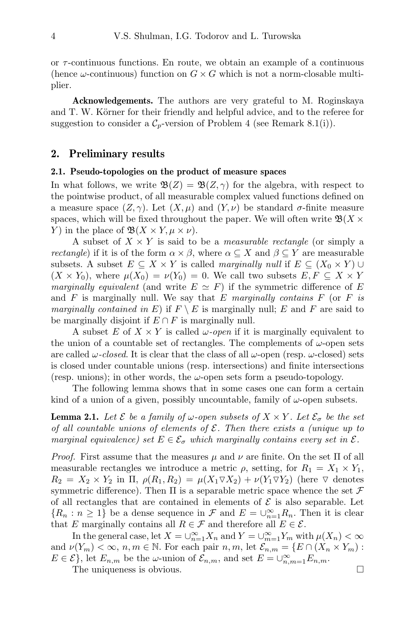or  $\tau$ -continuous functions. En route, we obtain an example of a continuous (hence  $\omega$ -continuous) function on  $G \times G$  which is not a norm-closable multiplier.

Acknowledgements. The authors are very grateful to M. Roginskaya and T. W. Körner for their friendly and helpful advice, and to the referee for suggestion to consider a  $C_p$ -version of Problem 4 (see Remark 8.1(i)).

#### 2. Preliminary results

#### 2.1. Pseudo-topologies on the product of measure spaces

In what follows, we write  $\mathfrak{B}(Z) = \mathfrak{B}(Z,\gamma)$  for the algebra, with respect to the pointwise product, of all measurable complex valued functions defined on a measure space  $(Z, \gamma)$ . Let  $(X, \mu)$  and  $(Y, \nu)$  be standard  $\sigma$ -finite measure spaces, which will be fixed throughout the paper. We will often write  $\mathfrak{B}(X \times$ Y) in the place of  $\mathfrak{B}(X \times Y, \mu \times \nu)$ .

A subset of  $X \times Y$  is said to be a *measurable rectangle* (or simply a *rectangle*) if it is of the form  $\alpha \times \beta$ , where  $\alpha \subset X$  and  $\beta \subset Y$  are measurable subsets. A subset  $E \subseteq X \times Y$  is called marginally null if  $E \subseteq (X_0 \times Y) \cup$  $(X \times Y_0)$ , where  $\mu(X_0) = \nu(Y_0) = 0$ . We call two subsets  $E, F \subseteq X \times Y$ marginally equivalent (and write  $E \simeq F$ ) if the symmetric difference of E and  $F$  is marginally null. We say that  $E$  marginally contains  $F$  (or  $F$  is marginally contained in E) if  $F \setminus E$  is marginally null; E and F are said to be marginally disjoint if  $E \cap F$  is marginally null.

A subset E of  $X \times Y$  is called  $\omega$ -open if it is marginally equivalent to the union of a countable set of rectangles. The complements of  $\omega$ -open sets are called  $\omega$ -closed. It is clear that the class of all  $\omega$ -open (resp.  $\omega$ -closed) sets is closed under countable unions (resp. intersections) and finite intersections (resp. unions); in other words, the  $\omega$ -open sets form a pseudo-topology.

The following lemma shows that in some cases one can form a certain kind of a union of a given, possibly uncountable, family of  $\omega$ -open subsets.

**Lemma 2.1.** Let  $\mathcal{E}$  be a family of  $\omega$ -open subsets of  $X \times Y$ . Let  $\mathcal{E}_{\sigma}$  be the set of all countable unions of elements of  $\mathcal E$ . Then there exists a (unique up to marginal equivalence) set  $E \in \mathcal{E}_{\sigma}$  which marginally contains every set in  $\mathcal{E}$ .

*Proof.* First assume that the measures  $\mu$  and  $\nu$  are finite. On the set  $\Pi$  of all measurable rectangles we introduce a metric  $\rho$ , setting, for  $R_1 = X_1 \times Y_1$ ,  $R_2 = X_2 \times Y_2$  in  $\Pi$ ,  $\rho(R_1, R_2) = \mu(X_1 \nabla X_2) + \nu(Y_1 \nabla Y_2)$  (here  $\nabla$  denotes symmetric difference). Then  $\Pi$  is a separable metric space whence the set  $\mathcal F$ of all rectangles that are contained in elements of  $\mathcal E$  is also separable. Let  ${R_n : n \geq 1}$  be a dense sequence in  $\mathcal F$  and  $E = \bigcup_{n=1}^{\infty} R_n$ . Then it is clear that E marginally contains all  $R \in \mathcal{F}$  and therefore all  $E \in \mathcal{E}$ .

In the general case, let  $X = \bigcup_{n=1}^{\infty} X_n$  and  $Y = \bigcup_{m=1}^{\infty} Y_m$  with  $\mu(X_n) < \infty$ and  $\nu(Y_m) < \infty$ ,  $n, m \in \mathbb{N}$ . For each pair  $n, m$ , let  $\mathcal{E}_{n,m} = \{E \cap (X_n \times Y_m) :$  $E \in \mathcal{E}$ , let  $E_{n,m}$  be the  $\omega$ -union of  $\mathcal{E}_{n,m}$ , and set  $E = \cup_{n,m=1}^{\infty} E_{n,m}$ .

The uniqueness is obvious.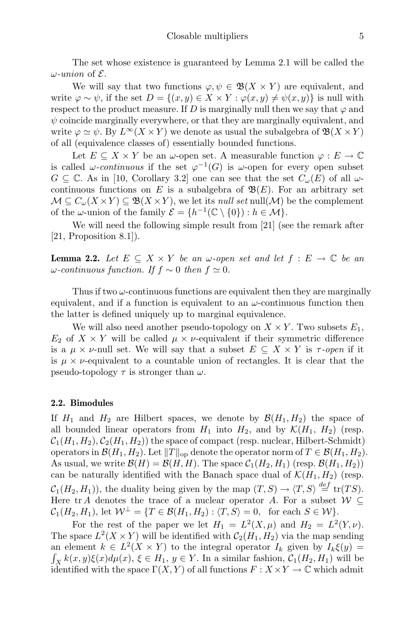The set whose existence is guaranteed by Lemma 2.1 will be called the  $\omega$ -union of  $\mathcal{E}$ .

We will say that two functions  $\varphi, \psi \in \mathfrak{B}(X \times Y)$  are equivalent, and write  $\varphi \sim \psi$ , if the set  $D = \{(x, y) \in X \times Y : \varphi(x, y) \neq \psi(x, y)\}\$ is null with respect to the product measure. If D is marginally null then we say that  $\varphi$  and  $\psi$  coincide marginally everywhere, or that they are marginally equivalent, and write  $\varphi \simeq \psi$ . By  $L^{\infty}(X \times Y)$  we denote as usual the subalgebra of  $\mathfrak{B}(X \times Y)$ of all (equivalence classes of) essentially bounded functions.

Let  $E \subseteq X \times Y$  be an  $\omega$ -open set. A measurable function  $\varphi : E \to \mathbb{C}$ is called  $\omega$ -continuous if the set  $\varphi^{-1}(G)$  is  $\omega$ -open for every open subset  $G \subseteq \mathbb{C}$ . As in [10, Corollary 3.2] one can see that the set  $C_{\omega}(E)$  of all  $\omega$ continuous functions on E is a subalgebra of  $\mathfrak{B}(E)$ . For an arbitrary set  $\mathcal{M} \subseteq C_{\omega}(X \times Y) \subseteq \mathfrak{B}(X \times Y)$ , we let its *null set* null( $\mathcal{M}$ ) be the complement of the  $\omega$ -union of the family  $\mathcal{E} = \{h^{-1}(\mathbb{C} \setminus \{0\}) : h \in \mathcal{M}\}.$ 

We will need the following simple result from [21] (see the remark after [21, Proposition 8.1]).

**Lemma 2.2.** Let  $E \subseteq X \times Y$  be an  $\omega$ -open set and let  $f : E \to \mathbb{C}$  be an ω-continuous function. If  $f ∼ 0$  then  $f ≅ 0$ .

Thus if two  $\omega$ -continuous functions are equivalent then they are marginally equivalent, and if a function is equivalent to an  $\omega$ -continuous function then the latter is defined uniquely up to marginal equivalence.

We will also need another pseudo-topology on  $X \times Y$ . Two subsets  $E_1$ ,  $E_2$  of  $X \times Y$  will be called  $\mu \times \nu$ -equivalent if their symmetric difference is a  $\mu \times \nu$ -null set. We will say that a subset  $E \subseteq X \times Y$  is  $\tau$ -open if it is  $\mu \times \nu$ -equivalent to a countable union of rectangles. It is clear that the pseudo-topology  $\tau$  is stronger than  $\omega$ .

#### 2.2. Bimodules

If  $H_1$  and  $H_2$  are Hilbert spaces, we denote by  $\mathcal{B}(H_1, H_2)$  the space of all bounded linear operators from  $H_1$  into  $H_2$ , and by  $\mathcal{K}(H_1, H_2)$  (resp.  $C_1(H_1, H_2), C_2(H_1, H_2)$  the space of compact (resp. nuclear, Hilbert-Schmidt) operators in  $\mathcal{B}(H_1, H_2)$ . Let  $||T||_{op}$  denote the operator norm of  $T \in \mathcal{B}(H_1, H_2)$ . As usual, we write  $\mathcal{B}(H) = \mathcal{B}(H, H)$ . The space  $\mathcal{C}_1(H_2, H_1)$  (resp.  $\mathcal{B}(H_1, H_2)$ ) can be naturally identified with the Banach space dual of  $\mathcal{K}(H_1, H_2)$  (resp.  $\mathcal{C}_1(H_2, H_1)$ , the duality being given by the map  $(T, S) \to \langle T, S \rangle \stackrel{def}{=} \text{tr}(TS)$ . Here tr A denotes the trace of a nuclear operator A. For a subset  $W \subseteq$ 

 $C_1(H_2, H_1)$ , let  $\mathcal{W}^{\perp} = \{T \in \mathcal{B}(H_1, H_2) : \langle T, S \rangle = 0, \text{ for each } S \in \mathcal{W} \}.$ 

For the rest of the paper we let  $H_1 = L^2(X, \mu)$  and  $H_2 = L^2(Y, \nu)$ . The space  $L^2(X \times Y)$  will be identified with  $C_2(H_1, H_2)$  via the map sending an element  $k \in L^2(X \times Y)$  to the integral operator  $I_k$  given by  $I_k \xi(y) =$  $\int_X k(x, y) \xi(x) d\mu(x), \xi \in H_1, y \in Y$ . In a similar fashion,  $C_1(H_2, H_1)$  will be identified with the space  $\Gamma(X, Y)$  of all functions  $F: X \times Y \to \mathbb{C}$  which admit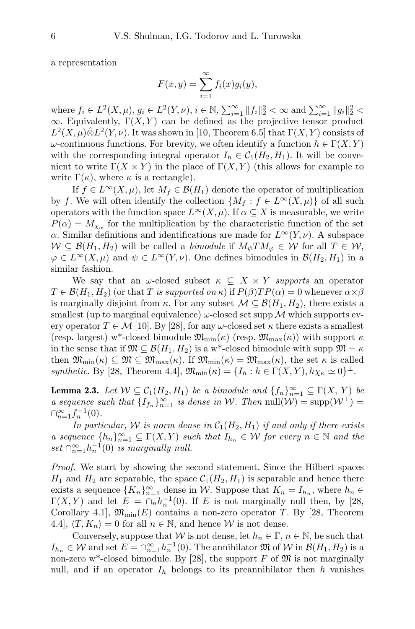a representation

$$
F(x,y) = \sum_{i=1}^{\infty} f_i(x)g_i(y),
$$

where  $f_i \in L^2(X, \mu), g_i \in L^2(Y, \nu), i \in \mathbb{N}, \sum_{i=1}^{\infty} ||f_i||_2^2 < \infty$  and  $\sum_{i=1}^{\infty} ||g_i||_2^2 <$  $\infty$ . Equivalently,  $\Gamma(X, Y)$  can be defined as the projective tensor product  $L^2(X,\mu)\hat{\otimes}L^2(Y,\nu)$ . It was shown in [10, Theorem 6.5] that  $\Gamma(X,Y)$  consists of  $\omega$ -continuous functions. For brevity, we often identify a function  $h \in \Gamma(X, Y)$ with the corresponding integral operator  $I_h \in C_1(H_2, H_1)$ . It will be convenient to write  $\Gamma(X \times Y)$  in the place of  $\Gamma(X, Y)$  (this allows for example to write  $\Gamma(\kappa)$ , where  $\kappa$  is a rectangle).

If  $f \in L^{\infty}(X,\mu)$ , let  $M_f \in \mathcal{B}(H_1)$  denote the operator of multiplication by f. We will often identify the collection  $\{M_f : f \in L^{\infty}(X,\mu)\}\$  of all such operators with the function space  $L^{\infty}(X,\mu)$ . If  $\alpha \subseteq X$  is measurable, we write  $P(\alpha) = M_{\chi_{\alpha}}$  for the multiplication by the characteristic function of the set α. Similar definitions and identifications are made for  $L^{\infty}(Y, \nu)$ . A subspace  $W \subseteq \mathcal{B}(H_1, H_2)$  will be called a *bimodule* if  $M_{\psi} T M_{\varphi} \in \mathcal{W}$  for all  $T \in \mathcal{W}$ ,  $\varphi \in L^{\infty}(X,\mu)$  and  $\psi \in L^{\infty}(Y,\nu)$ . One defines bimodules in  $\mathcal{B}(H_2,H_1)$  in a similar fashion.

We say that an  $\omega$ -closed subset  $\kappa \subseteq X \times Y$  supports an operator  $T \in \mathcal{B}(H_1, H_2)$  (or that T is supported on  $\kappa$ ) if  $P(\beta)TP(\alpha) = 0$  whenever  $\alpha \times \beta$ is marginally disjoint from  $\kappa$ . For any subset  $\mathcal{M} \subseteq \mathcal{B}(H_1, H_2)$ , there exists a smallest (up to marginal equivalence)  $\omega$ -closed set supp M which supports every operator  $T \in \mathcal{M}$  [10]. By [28], for any  $\omega$ -closed set  $\kappa$  there exists a smallest (resp. largest) w<sup>\*</sup>-closed bimodule  $\mathfrak{M}_{\text{min}}(\kappa)$  (resp.  $\mathfrak{M}_{\text{max}}(\kappa)$ ) with support  $\kappa$ in the sense that if  $\mathfrak{M} \subseteq \mathcal{B}(H_1, H_2)$  is a w<sup>\*</sup>-closed bimodule with supp  $\mathfrak{M} = \kappa$ then  $\mathfrak{M}_{\text{min}}(\kappa) \subseteq \mathfrak{M} \subseteq \mathfrak{M}_{\text{max}}(\kappa)$ . If  $\mathfrak{M}_{\text{min}}(\kappa) = \mathfrak{M}_{\text{max}}(\kappa)$ , the set  $\kappa$  is called synthetic. By [28, Theorem 4.4],  $\mathfrak{M}_{\text{min}}(\kappa) = \{I_h : h \in \Gamma(X, Y), h\chi_\kappa \simeq 0\}^{\perp}$ .

**Lemma 2.3.** Let  $W \subseteq C_1(H_2, H_1)$  be a bimodule and  $\{f_n\}_{n=1}^{\infty} \subseteq \Gamma(X, Y)$  be a sequence such that  $\{I_{f_n}\}_{n=1}^{\infty}$  is dense in W. Then  $null(\mathcal{W}) = \text{supp}(\mathcal{W}^{\perp}) =$  $\bigcap_{n=1}^{\infty} f_n^{-1}(0)$ .

In particular, W is norm dense in  $C_1(H_2, H_1)$  if and only if there exists a sequence  $\{h_n\}_{n=1}^{\infty} \subseteq \Gamma(X, Y)$  such that  $I_{h_n} \in W$  for every  $n \in \mathbb{N}$  and the set  $\bigcap_{n=1}^{\infty} h_n^{-1}(0)$  is marginally null.

Proof. We start by showing the second statement. Since the Hilbert spaces  $H_1$  and  $H_2$  are separable, the space  $C_1(H_2, H_1)$  is separable and hence there exists a sequence  $\{K_n\}_{n=1}^{\infty}$  dense in W. Suppose that  $K_n = I_{h_n}$ , where  $h_n \in$  $\Gamma(X,Y)$  and let  $E = \cap_n h_n^{-1}(0)$ . If E is not marginally null then, by [28, Corollary 4.1,  $\mathfrak{M}_{\text{min}}(E)$  contains a non-zero operator T. By [28, Theorem 4.4,  $\langle T, K_n \rangle = 0$  for all  $n \in \mathbb{N}$ , and hence W is not dense.

Conversely, suppose that W is not dense, let  $h_n \in \Gamma$ ,  $n \in \mathbb{N}$ , be such that  $I_{h_n} \in \mathcal{W}$  and set  $E = \bigcap_{n=1}^{\infty} h_n^{-1}(0)$ . The annihilator  $\mathfrak{M}$  of  $\mathcal{W}$  in  $\mathcal{B}(H_1, H_2)$  is a non-zero w<sup>\*</sup>-closed bimodule. By [28], the support F of  $\mathfrak{M}$  is not marginally null, and if an operator  $I_h$  belongs to its preannihilator then h vanishes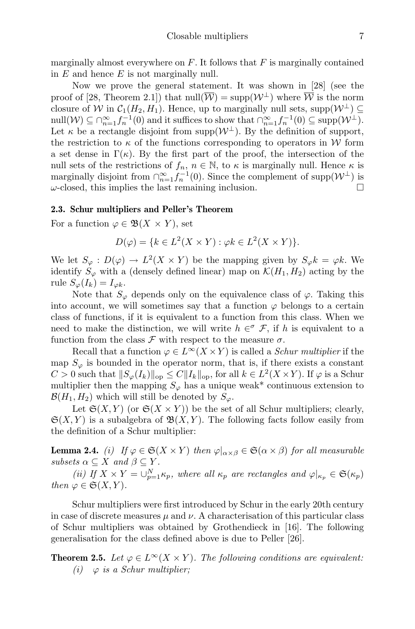marginally almost everywhere on  $F$ . It follows that  $F$  is marginally contained in  $E$  and hence  $E$  is not marginally null.

Now we prove the general statement. It was shown in [28] (see the proof of [28, Theorem 2.1]) that  $null(\overline{\mathcal{W}}) = \text{supp}(\mathcal{W}^{\perp})$  where  $\overline{\mathcal{W}}$  is the norm closure of W in  $C_1(H_2, H_1)$ . Hence, up to marginally null sets, supp $(\mathcal{W}^{\perp}) \subseteq$ null $(\mathcal{W}) \subseteq \bigcap_{n=1}^{\infty} f_n^{-1}(0)$  and it suffices to show that  $\bigcap_{n=1}^{\infty} f_n^{-1}(0) \subseteq \text{supp}(\mathcal{W}^{\perp}).$ Let  $\kappa$  be a rectangle disjoint from supp $(\mathcal{W}^{\perp})$ . By the definition of support, the restriction to  $\kappa$  of the functions corresponding to operators in W form a set dense in  $\Gamma(\kappa)$ . By the first part of the proof, the intersection of the null sets of the restrictions of  $f_n$ ,  $n \in \mathbb{N}$ , to  $\kappa$  is marginally null. Hence  $\kappa$  is marginally disjoint from  $\bigcap_{n=1}^{\infty} f_n^{-1}(0)$ . Since the complement of supp $(\mathcal{W}^{\perp})$  is  $\omega$ -closed, this implies the last remaining inclusion.

#### 2.3. Schur multipliers and Peller's Theorem

For a function  $\varphi \in \mathfrak{B}(X \times Y)$ , set

$$
D(\varphi) = \{ k \in L^2(X \times Y) : \varphi k \in L^2(X \times Y) \}.
$$

We let  $S_{\varphi}: D(\varphi) \to L^2(X \times Y)$  be the mapping given by  $S_{\varphi}k = \varphi k$ . We identify  $S_{\varphi}$  with a (densely defined linear) map on  $\mathcal{K}(H_1, H_2)$  acting by the rule  $S_{\varphi}(I_k) = I_{\varphi k}$ .

Note that  $S_{\varphi}$  depends only on the equivalence class of  $\varphi$ . Taking this into account, we will sometimes say that a function  $\varphi$  belongs to a certain class of functions, if it is equivalent to a function from this class. When we need to make the distinction, we will write  $h \in \mathcal{F}$ , if h is equivalent to a function from the class  $\mathcal F$  with respect to the measure  $\sigma$ .

Recall that a function  $\varphi \in L^{\infty}(X \times Y)$  is called a *Schur multiplier* if the map  $S_{\varphi}$  is bounded in the operator norm, that is, if there exists a constant  $C > 0$  such that  $||S_{\varphi}(I_k)||_{op} \leq C||I_k||_{op}$ , for all  $k \in L^2(X \times Y)$ . If  $\varphi$  is a Schur multiplier then the mapping  $S_{\varphi}$  has a unique weak\* continuous extension to  $\mathcal{B}(H_1, H_2)$  which will still be denoted by  $S_{\varphi}$ .

Let  $\mathfrak{S}(X,Y)$  (or  $\mathfrak{S}(X \times Y)$ ) be the set of all Schur multipliers; clearly,  $\mathfrak{S}(X, Y)$  is a subalgebra of  $\mathfrak{B}(X, Y)$ . The following facts follow easily from the definition of a Schur multiplier:

**Lemma 2.4.** (i) If  $\varphi \in \mathfrak{S}(X \times Y)$  then  $\varphi|_{\alpha \times \beta} \in \mathfrak{S}(\alpha \times \beta)$  for all measurable subsets  $\alpha \subseteq X$  and  $\beta \subseteq Y$ .

(ii) If  $X \times Y = \bigcup_{p=1}^{N} \kappa_p$ , where all  $\kappa_p$  are rectangles and  $\varphi|_{\kappa_p} \in \mathfrak{S}(\kappa_p)$ then  $\varphi \in \mathfrak{S}(X,Y)$ .

Schur multipliers were first introduced by Schur in the early 20th century in case of discrete measures  $\mu$  and  $\nu$ . A characterisation of this particular class of Schur multipliers was obtained by Grothendieck in [16]. The following generalisation for the class defined above is due to Peller [26].

**Theorem 2.5.** Let  $\varphi \in L^{\infty}(X \times Y)$ . The following conditions are equivalent: (i)  $\varphi$  is a Schur multiplier;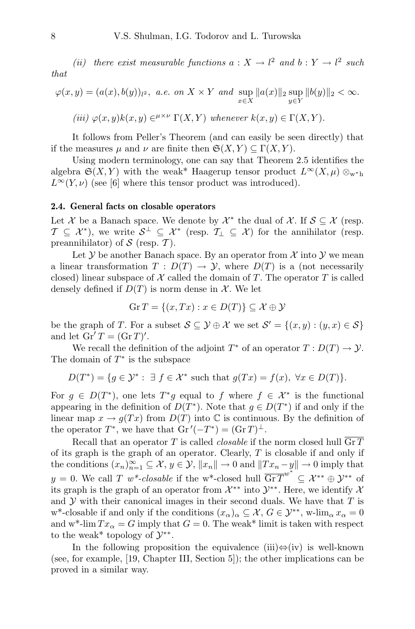(ii) there exist measurable functions  $a: X \to l^2$  and  $b: Y \to l^2$  such that

$$
\varphi(x,y) = (a(x), b(y))_{l^2}, \ a.e. \ on \ X \times Y \ and \ \sup_{x \in X} ||a(x)||_2 \sup_{y \in Y} ||b(y)||_2 < \infty.
$$

(iii) 
$$
\varphi(x, y)k(x, y) \in^{\mu \times \nu} \Gamma(X, Y)
$$
 whenever  $k(x, y) \in \Gamma(X, Y)$ .

It follows from Peller's Theorem (and can easily be seen directly) that if the measures  $\mu$  and  $\nu$  are finite then  $\mathfrak{S}(X,Y) \subseteq \Gamma(X,Y)$ .

Using modern terminology, one can say that Theorem 2.5 identifies the algebra  $\mathfrak{S}(X, Y)$  with the weak\* Haagerup tensor product  $L^{\infty}(X, \mu) \otimes_{w^* h}$  $L^{\infty}(Y,\nu)$  (see [6] where this tensor product was introduced).

#### 2.4. General facts on closable operators

Let X be a Banach space. We denote by  $\mathcal{X}^*$  the dual of X. If  $\mathcal{S} \subseteq \mathcal{X}$  (resp.  $\mathcal{T} \subseteq \mathcal{X}^*$ ), we write  $\mathcal{S}^{\perp} \subseteq \mathcal{X}^*$  (resp.  $\mathcal{T}_{\perp} \subseteq \mathcal{X}$ ) for the annihilator (resp. preannihilator) of  $S$  (resp.  $T$ ).

Let  $Y$  be another Banach space. By an operator from  $X$  into  $Y$  we mean a linear transformation  $T : D(T) \to Y$ , where  $D(T)$  is a (not necessarily closed) linear subspace of  $X$  called the domain of T. The operator T is called densely defined if  $D(T)$  is norm dense in X. We let

$$
\operatorname{Gr} T = \{(x, Tx) : x \in D(T)\} \subseteq \mathcal{X} \oplus \mathcal{Y}
$$

be the graph of T. For a subset  $S \subseteq \mathcal{Y} \oplus \mathcal{X}$  we set  $S' = \{(x, y) : (y, x) \in S\}$ and let  $\operatorname{Gr}' T = (\operatorname{Gr} T)'$ .

We recall the definition of the adjoint  $T^*$  of an operator  $T: D(T) \to Y$ . The domain of  $T^*$  is the subspace

$$
D(T^*) = \{ g \in \mathcal{Y}^* : \exists f \in \mathcal{X}^* \text{ such that } g(Tx) = f(x), \ \forall x \in D(T) \}.
$$

For  $g \in D(T^*)$ , one lets  $T^*g$  equal to f where  $f \in \mathcal{X}^*$  is the functional appearing in the definition of  $D(T^*)$ . Note that  $g \in D(T^*)$  if and only if the linear map  $x \to g(Tx)$  from  $D(T)$  into  $\mathbb C$  is continuous. By the definition of the operator  $T^*$ , we have that  $\mathrm{Gr}\, '(-T^*) = (\mathrm{Gr}\, T)^{\perp}$ .

Recall that an operator T is called *closable* if the norm closed hull Gr T of its graph is the graph of an operator. Clearly,  $T$  is closable if and only if the conditions  $(x_n)_{n=1}^{\infty} \subseteq \mathcal{X}, y \in \mathcal{Y}, ||x_n|| \to 0$  and  $||Tx_n - y|| \to 0$  imply that  $y = 0$ . We call T  $w^*$ -closable if the w<sup>\*</sup>-closed hull  $\overline{\mathrm{GrT}}^{w^*} \subseteq \mathcal{X}^{**} \oplus \mathcal{Y}^{**}$  of its graph is the graph of an operator from  $\mathcal{X}^{**}$  into  $\mathcal{Y}^{**}$ . Here, we identify  $\mathcal{X}$ and  $Y$  with their canonical images in their second duals. We have that  $T$  is w<sup>\*</sup>-closable if and only if the conditions  $(x_{\alpha})_{\alpha} \subseteq \mathcal{X}, G \in \mathcal{Y}^{**}$ , w-lim<sub> $\alpha$ </sub>  $x_{\alpha} = 0$ and w<sup>\*</sup>-lim  $Tx_\alpha = G$  imply that  $G = 0$ . The weak<sup>\*</sup> limit is taken with respect to the weak<sup>\*</sup> topology of  $\mathcal{Y}^{**}$ .

In the following proposition the equivalence (iii) $\Leftrightarrow$ (iv) is well-known (see, for example, [19, Chapter III, Section 5]); the other implications can be proved in a similar way.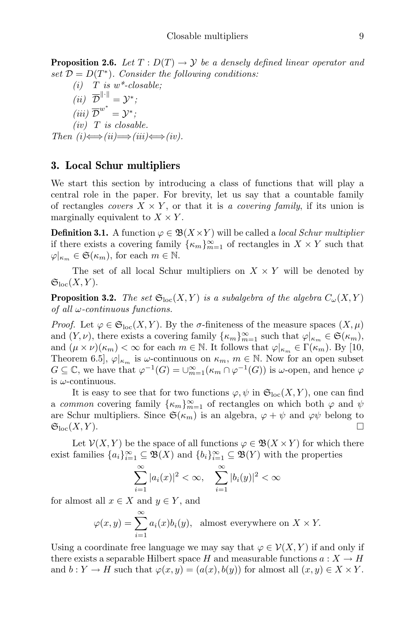**Proposition 2.6.** Let  $T: D(T) \rightarrow Y$  be a densely defined linear operator and set  $\mathcal{D} = D(T^*)$ . Consider the following conditions:

(i) T is  $w^*$ -closable; (*ii*)  $\overline{\mathcal{D}}^{\|\cdot\|} = \mathcal{Y}^*$ ; (iii)  $\overline{\mathcal{D}}^{w^*} = \mathcal{Y}^*$ ;  $(iv)$  T is closable. Then  $(i) \Longleftrightarrow (ii) \Longrightarrow (iii) \Longleftrightarrow (iv)$ .

## 3. Local Schur multipliers

We start this section by introducing a class of functions that will play a central role in the paper. For brevity, let us say that a countable family of rectangles *covers*  $X \times Y$ , or that it is a *covering family*, if its union is marginally equivalent to  $X \times Y$ .

**Definition 3.1.** A function  $\varphi \in \mathfrak{B}(X \times Y)$  will be called a *local Schur multiplier* if there exists a covering family  $\{\kappa_m\}_{m=1}^{\infty}$  of rectangles in  $X \times Y$  such that  $\varphi|_{\kappa_m} \in \mathfrak{S}(\kappa_m)$ , for each  $m \in \mathbb{N}$ .

The set of all local Schur multipliers on  $X \times Y$  will be denoted by  $\mathfrak{S}_{\mathrm{loc}}(X,Y).$ 

**Proposition 3.2.** The set  $\mathfrak{S}_{\text{loc}}(X, Y)$  is a subalgebra of the algebra  $C_{\omega}(X, Y)$ of all  $\omega$ -continuous functions.

*Proof.* Let  $\varphi \in \mathfrak{S}_{\mathrm{loc}}(X, Y)$ . By the  $\sigma$ -finiteness of the measure spaces  $(X, \mu)$ and  $(Y, \nu)$ , there exists a covering family  $\{\kappa_m\}_{m=1}^{\infty}$  such that  $\varphi|_{\kappa_m} \in \mathfrak{S}(\kappa_m)$ , and  $(\mu \times \nu)(\kappa_m) < \infty$  for each  $m \in \mathbb{N}$ . It follows that  $\varphi|_{\kappa_m} \in \Gamma(\kappa_m)$ . By [10, Theorem 6.5],  $\varphi|_{\kappa_m}$  is  $\omega$ -continuous on  $\kappa_m$ ,  $m \in \mathbb{N}$ . Now for an open subset  $G \subseteq \mathbb{C}$ , we have that  $\varphi^{-1}(G) = \bigcup_{m=1}^{\infty} (\kappa_m \cap \varphi^{-1}(G))$  is  $\omega$ -open, and hence  $\varphi$ is  $\omega$ -continuous.

It is easy to see that for two functions  $\varphi, \psi$  in  $\mathfrak{S}_{\mathrm{loc}}(X, Y)$ , one can find a common covering family  $\{\kappa_m\}_{m=1}^{\infty}$  of rectangles on which both  $\varphi$  and  $\psi$ are Schur multipliers. Since  $\mathfrak{S}(\kappa_m)$  is an algebra,  $\varphi + \psi$  and  $\varphi\psi$  belong to  $\mathfrak{S}_{\mathrm{loc}}(X,Y).$ 

Let  $\mathcal{V}(X, Y)$  be the space of all functions  $\varphi \in \mathfrak{B}(X \times Y)$  for which there exist families  ${a_i}_{i=1}^{\infty} \subseteq \mathfrak{B}(X)$  and  ${b_i}_{i=1}^{\infty} \subseteq \mathfrak{B}(Y)$  with the properties

$$
\sum_{i=1}^{\infty} |a_i(x)|^2 < \infty, \quad \sum_{i=1}^{\infty} |b_i(y)|^2 < \infty
$$

for almost all  $x \in X$  and  $y \in Y$ , and

$$
\varphi(x, y) = \sum_{i=1}^{\infty} a_i(x)b_i(y)
$$
, almost everywhere on  $X \times Y$ .

Using a coordinate free language we may say that  $\varphi \in \mathcal{V}(X, Y)$  if and only if there exists a separable Hilbert space H and measurable functions  $a: X \to H$ and  $b: Y \to H$  such that  $\varphi(x, y) = (a(x), b(y))$  for almost all  $(x, y) \in X \times Y$ .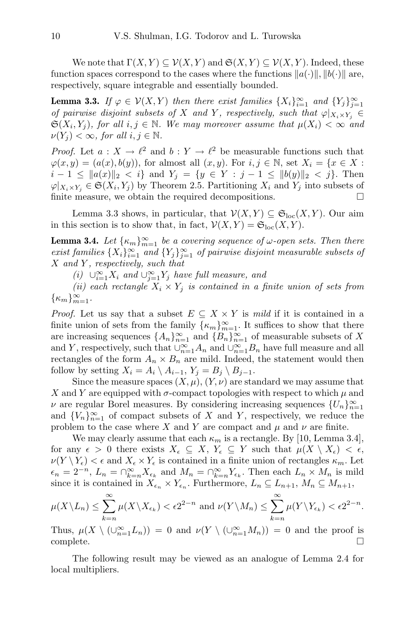We note that  $\Gamma(X, Y) \subseteq V(X, Y)$  and  $\mathfrak{S}(X, Y) \subseteq V(X, Y)$ . Indeed, these function spaces correspond to the cases where the functions  $||a(\cdot)||, ||b(\cdot)||$  are, respectively, square integrable and essentially bounded.

**Lemma 3.3.** If  $\varphi \in \mathcal{V}(X, Y)$  then there exist families  $\{X_i\}_{i=1}^{\infty}$  and  $\{Y_j\}_{j=1}^{\infty}$ of pairwise disjoint subsets of X and Y, respectively, such that  $\varphi|_{X_i \times Y_j} \in$  $\mathfrak{S}(X_i,Y_j)$ , for all  $i,j \in \mathbb{N}$ . We may moreover assume that  $\mu(X_i) < \infty$  and  $\nu(Y_j) < \infty$ , for all  $i, j \in \mathbb{N}$ .

*Proof.* Let  $a: X \to \ell^2$  and  $b: Y \to \ell^2$  be measurable functions such that  $\varphi(x, y) = (a(x), b(y)),$  for almost all  $(x, y)$ . For  $i, j \in \mathbb{N}$ , set  $X_i = \{x \in X :$  $i-1 \leq ||a(x)||_2 < i$  and  $Y_i = \{y \in Y : j-1 \leq ||b(y)||_2 < j\}.$  Then  $\varphi|_{X_i \times Y_j} \in \mathfrak{S}(X_i, Y_j)$  by Theorem 2.5. Partitioning  $X_i$  and  $Y_j$  into subsets of finite measure, we obtain the required decompositions.

Lemma 3.3 shows, in particular, that  $\mathcal{V}(X, Y) \subseteq \mathfrak{S}_{loc}(X, Y)$ . Our aim in this section is to show that, in fact,  $\mathcal{V}(X, Y) = \mathfrak{S}_{loc}(X, Y)$ .

**Lemma 3.4.** Let  $\{\kappa_m\}_{m=1}^{\infty}$  be a covering sequence of  $\omega$ -open sets. Then there exist families  $\{X_i\}_{i=1}^{\infty}$  and  $\{Y_j\}_{j=1}^{\infty}$  of pairwise disjoint measurable subsets of  $X$  and  $Y$ , respectively, such that

(i) ∪<sup>∞</sup><sub>i=1</sub>X<sub>i</sub> and ∪<sup>∞</sup><sub>j=1</sub>Y<sub>j</sub> have full measure, and

(ii) each rectangle  $X_i \times Y_j$  is contained in a finite union of sets from  $\{\kappa_m\}_{m=1}^\infty$ .

*Proof.* Let us say that a subset  $E \subseteq X \times Y$  is mild if it is contained in a finite union of sets from the family  $\{\kappa_m\}_{m=1}^{\infty}$ . It suffices to show that there are increasing sequences  $\{A_n\}_{n=1}^{\infty}$  and  $\{B_n\}_{n=1}^{\infty}$  of measurable subsets of X and Y, respectively, such that  $\cup_{n=1}^{\infty} A_n$  and  $\cup_{n=1}^{\infty} B_n$  have full measure and all rectangles of the form  $A_n \times B_n$  are mild. Indeed, the statement would then follow by setting  $X_i = A_i \setminus A_{i-1}, Y_j = B_j \setminus B_{j-1}.$ 

Since the measure spaces  $(X, \mu)$ ,  $(Y, \nu)$  are standard we may assume that X and Y are equipped with  $\sigma$ -compact topologies with respect to which  $\mu$  and  $\nu$  are regular Borel measures. By considering increasing sequences  $\{U_n\}_{n=1}^{\infty}$ and  ${V_n}_{n=1}^{\infty}$  of compact subsets of X and Y, respectively, we reduce the problem to the case where X and Y are compact and  $\mu$  and  $\nu$  are finite.

We may clearly assume that each  $\kappa_m$  is a rectangle. By [10, Lemma 3.4], for any  $\epsilon > 0$  there exists  $X_{\epsilon} \subseteq X$ ,  $Y_{\epsilon} \subseteq Y$  such that  $\mu(X \setminus X_{\epsilon}) < \epsilon$ ,  $\nu(Y \setminus Y_{\epsilon}) < \epsilon$  and  $X_{\epsilon} \times Y_{\epsilon}$  is contained in a finite union of rectangles  $\kappa_m$ . Let  $\epsilon_n = 2^{-n}, L_n = \bigcap_{k=n}^{\infty} X_{\epsilon_k}$  and  $M_n = \bigcap_{k=n}^{\infty} Y_{\epsilon_k}$ . Then each  $L_n \times M_n$  is mild since it is contained in  $X_{\epsilon_n} \times Y_{\epsilon_n}$ . Furthermore,  $L_n \subseteq L_{n+1}$ ,  $M_n \subseteq M_{n+1}$ ,

$$
\mu(X \setminus L_n) \le \sum_{k=n}^{\infty} \mu(X \setminus X_{\epsilon_k}) < \epsilon 2^{2-n} \text{ and } \nu(Y \setminus M_n) \le \sum_{k=n}^{\infty} \mu(Y \setminus Y_{\epsilon_k}) < \epsilon 2^{2-n}.
$$

Thus,  $\mu(X \setminus (\cup_{n=1}^{\infty} L_n)) = 0$  and  $\nu(Y \setminus (\cup_{n=1}^{\infty} M_n)) = 0$  and the proof is  $\Box$ complete.  $\Box$ 

The following result may be viewed as an analogue of Lemma 2.4 for local multipliers.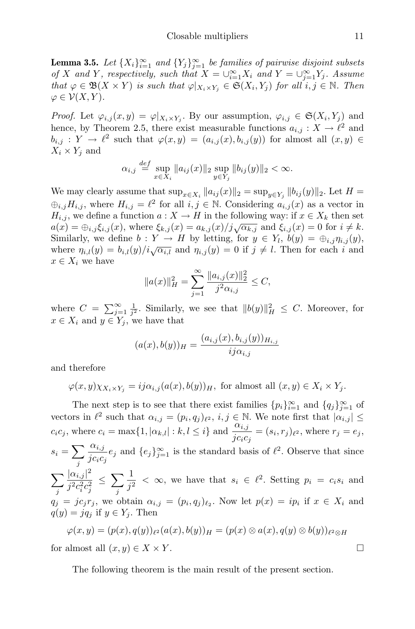**Lemma 3.5.** Let  $\{X_i\}_{i=1}^{\infty}$  and  $\{Y_j\}_{j=1}^{\infty}$  be families of pairwise disjoint subsets of X and Y, respectively, such that  $X = \bigcup_{i=1}^{\infty} X_i$  and  $Y = \bigcup_{j=1}^{\infty} Y_j$ . Assume that  $\varphi \in \mathfrak{B}(X \times Y)$  is such that  $\varphi|_{X_i \times Y_j} \in \mathfrak{S}(X_i, Y_j)$  for all  $i, j \in \mathbb{N}$ . Then  $\varphi \in \mathcal{V}(X, Y).$ 

*Proof.* Let  $\varphi_{i,j}(x,y) = \varphi|_{X_i \times Y_j}$ . By our assumption,  $\varphi_{i,j} \in \mathfrak{S}(X_i, Y_j)$  and hence, by Theorem 2.5, there exist measurable functions  $a_{i,j}: X \to \ell^2$  and  $b_{i,j} : Y \to \ell^2$  such that  $\varphi(x, y) = (a_{i,j}(x), b_{i,j}(y))$  for almost all  $(x, y) \in$  $X_i \times Y_j$  and

$$
\alpha_{i,j} \stackrel{def}{=} \sup_{x \in X_i} \|a_{ij}(x)\|_2 \sup_{y \in Y_j} \|b_{ij}(y)\|_2 < \infty.
$$

We may clearly assume that  $\sup_{x \in X_i} ||a_{ij}(x)||_2 = \sup_{y \in Y_j} ||b_{ij}(y)||_2$ . Let  $H =$  $\bigoplus_{i,j} H_{i,j}$ , where  $H_{i,j} = \ell^2$  for all  $i, j \in \mathbb{N}$ . Considering  $a_{i,j}(x)$  as a vector in  $H_{i,j}$ , we define a function  $a: X \to H$  in the following way: if  $x \in X_k$  then set  $a(x) = \bigoplus_{i,j} \xi_{i,j}(x)$ , where  $\xi_{k,j}(x) = a_{k,j}(x)/j\sqrt{\alpha_{k,j}}$  and  $\xi_{i,j}(x) = 0$  for  $i \neq k$ . Similarly, we define  $b: Y \to H$  by letting, for  $y \in Y_l$ ,  $b(y) = \bigoplus_{i,j} \eta_{i,j}(y)$ , where  $\eta_{i,l}(y) = b_{i,l}(y)/i\sqrt{\alpha_{i,l}}$  and  $\eta_{i,j}(y) = 0$  if  $j \neq l$ . Then for each i and  $x \in X_i$  we have

$$
||a(x)||_H^2 = \sum_{j=1}^{\infty} \frac{||a_{i,j}(x)||_2^2}{j^2 \alpha_{i,j}} \le C,
$$

where  $C = \sum_{j=1}^{\infty} \frac{1}{j^2}$ . Similarly, we see that  $||b(y)||_H^2 \leq C$ . Moreover, for  $x \in X_i$  and  $y \in Y_j$ , we have that

$$
(a(x), b(y))_H = \frac{(a_{i,j}(x), b_{i,j}(y))_{H_{i,j}}}{ij\alpha_{i,j}}
$$

and therefore

$$
\varphi(x,y)\chi_{X_i\times Y_j} = ij\alpha_{i,j}(a(x),b(y))_H, \text{ for almost all } (x,y)\in X_i\times Y_j.
$$

The next step is to see that there exist families  $\{p_i\}_{i=1}^{\infty}$  and  $\{q_j\}_{j=1}^{\infty}$  of vectors in  $\ell^2$  such that  $\alpha_{i,j} = (p_i, q_j)_{\ell^2}$ ,  $i, j \in \mathbb{N}$ . We note first that  $|\alpha_{i,j}| \leq$  $c_i c_j$ , where  $c_i = \max\{1, |\alpha_{k,l}| : k, l \leq i\}$  and  $\frac{\alpha_{i,j}}{j c_i c_j} = (s_i, r_j)_{\ell^2}$ , where  $r_j = e_j$ ,  $s_i = \sum$ j  $\alpha_{i,j}$  $\frac{\alpha_{i,j}}{j c_i c_j} e_j$  and  $\{e_j\}_{j=1}^{\infty}$  is the standard basis of  $\ell^2$ . Observe that since  $\sum$ j  $|\alpha_{i,j}|^2$  $j^2c_i^2c_j^2$ ≤ X j 1  $\frac{1}{j^2} < \infty$ , we have that  $s_i \in \ell^2$ . Setting  $p_i = c_i s_i$  and  $q_j = j c_j r_j$ , we obtain  $\alpha_{i,j} = (p_i, q_j)_{\ell_2}$ . Now let  $p(x) = ip_i$  if  $x \in X_i$  and  $q(y) = iq_i$  if  $y \in Y_i$ . Then  $\varphi(x,y)=(p(x),q(y))_{\ell^2}(a(x),b(y))_H=(p(x)\otimes a(x),q(y)\otimes b(y))_{\ell^2\otimes H}$ 

for almost all  $(x, y) \in X \times Y$ .

The following theorem is the main result of the present section.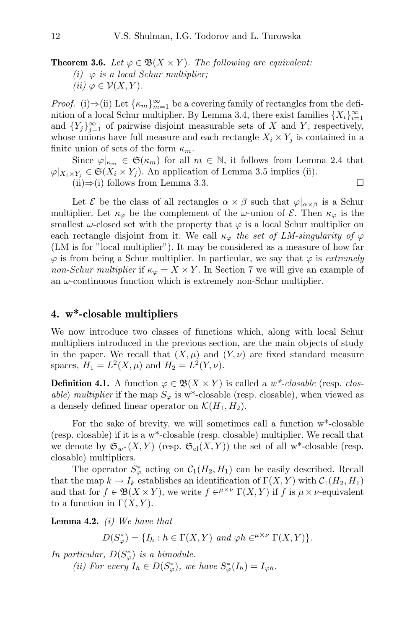**Theorem 3.6.** Let  $\varphi \in \mathfrak{B}(X \times Y)$ . The following are equivalent: (i)  $\varphi$  is a local Schur multiplier; (ii)  $\varphi \in \mathcal{V}(X, Y)$ .

*Proof.* (i)⇒(ii) Let  $\{\kappa_m\}_{m=1}^{\infty}$  be a covering family of rectangles from the definition of a local Schur multiplier. By Lemma 3.4, there exist families  $\{X_i\}_{i=1}^{\infty}$ and  ${Y_j}_{j=1}^{\infty}$  of pairwise disjoint measurable sets of X and Y, respectively, whose unions have full measure and each rectangle  $X_i \times Y_j$  is contained in a finite union of sets of the form  $\kappa_m$ .

Since  $\varphi|_{\kappa_m} \in \mathfrak{S}(\kappa_m)$  for all  $m \in \mathbb{N}$ , it follows from Lemma 2.4 that  $\varphi|_{X_i \times Y_j} \in \mathfrak{S}(X_i \times Y_j)$ . An application of Lemma 3.5 implies (ii). (ii)⇒(i) follows from Lemma 3.3.

Let  $\mathcal E$  be the class of all rectangles  $\alpha \times \beta$  such that  $\varphi|_{\alpha \times \beta}$  is a Schur multiplier. Let  $\kappa_{\varphi}$  be the complement of the  $\omega$ -union of  $\mathcal{E}$ . Then  $\kappa_{\varphi}$  is the smallest  $\omega$ -closed set with the property that  $\varphi$  is a local Schur multiplier on each rectangle disjoint from it. We call  $\kappa_{\varphi}$  the set of LM-singularity of  $\varphi$ (LM is for "local multiplier"). It may be considered as a measure of how far  $\varphi$  is from being a Schur multiplier. In particular, we say that  $\varphi$  is extremely non-Schur multiplier if  $\kappa_{\varphi} = X \times Y$ . In Section 7 we will give an example of an  $\omega$ -continuous function which is extremely non-Schur multiplier.

#### 4. w\*-closable multipliers

We now introduce two classes of functions which, along with local Schur multipliers introduced in the previous section, are the main objects of study in the paper. We recall that  $(X, \mu)$  and  $(Y, \nu)$  are fixed standard measure spaces,  $H_1 = L^2(X, \mu)$  and  $H_2 = L^2(Y, \nu)$ .

**Definition 4.1.** A function  $\varphi \in \mathfrak{B}(X \times Y)$  is called a  $w^*$ -closable (resp. closable) multiplier if the map  $S_{\varphi}$  is w<sup>\*</sup>-closable (resp. closable), when viewed as a densely defined linear operator on  $\mathcal{K}(H_1, H_2)$ .

For the sake of brevity, we will sometimes call a function w\*-closable (resp. closable) if it is a w\*-closable (resp. closable) multiplier. We recall that we denote by  $\mathfrak{S}_{w^*}(X, Y)$  (resp.  $\mathfrak{S}_{\text{cl}}(X, Y)$ ) the set of all w<sup>\*</sup>-closable (resp. closable) multipliers.

The operator  $S^*_{\varphi}$  acting on  $\mathcal{C}_1(H_2, H_1)$  can be easily described. Recall that the map  $k \to I_k$  establishes an identification of  $\Gamma(X, Y)$  with  $\mathcal{C}_1(H_2, H_1)$ and that for  $f \in \mathfrak{B}(X \times Y)$ , we write  $f \in^{\mu \times \nu} \Gamma(X, Y)$  if f is  $\mu \times \nu$ -equivalent to a function in  $\Gamma(X, Y)$ .

**Lemma 4.2.** (i) We have that

 $D(S_{\varphi}^*) = \{I_h : h \in \Gamma(X, Y) \text{ and } \varphi h \in^{\mu \times \nu} \Gamma(X, Y)\}.$ 

In particular,  $D(S^*_\varphi)$  is a bimodule. (ii) For every  $I_h \in D(S^*_\varphi)$ , we have  $S^*_\varphi(I_h) = I_{\varphi h}$ .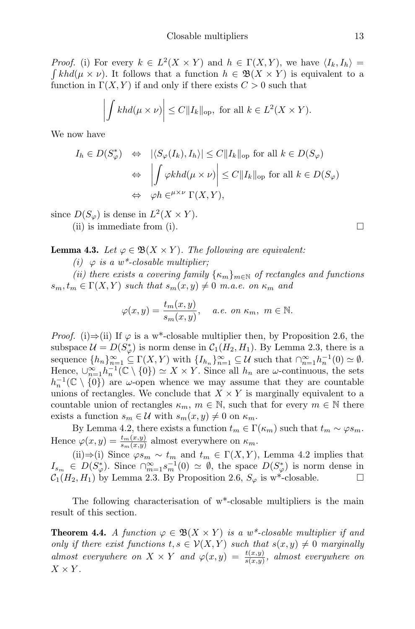*Proof.* (i) For every  $k \in L^2(X \times Y)$  and  $h \in \Gamma(X, Y)$ , we have  $\langle I_k, I_h \rangle =$  $\int kh d(\mu \times \nu)$ . It follows that a function  $h \in \mathfrak{B}(X \times Y)$  is equivalent to a function in  $\Gamma(X, Y)$  if and only if there exists  $C > 0$  such that

$$
\left| \int kh d(\mu \times \nu) \right| \le C \|I_k\|_{\text{op}}, \text{ for all } k \in L^2(X \times Y).
$$

We now have

$$
I_h \in D(S_{\varphi}^*) \quad \Leftrightarrow \quad |\langle S_{\varphi}(I_k), I_h \rangle| \le C \|I_k\|_{\text{op}} \text{ for all } k \in D(S_{\varphi})
$$

$$
\Leftrightarrow \quad \left| \int \varphi k h d(\mu \times \nu) \right| \le C \|I_k\|_{\text{op}} \text{ for all } k \in D(S_{\varphi})
$$

$$
\Leftrightarrow \quad \varphi h \in^{\mu \times \nu} \Gamma(X, Y),
$$

since  $D(S_{\varphi})$  is dense in  $L^2(X \times Y)$ . (ii) is immediate from (i).  $\Box$ 

**Lemma 4.3.** Let  $\varphi \in \mathfrak{B}(X \times Y)$ . The following are equivalent:

(i)  $\varphi$  is a w\*-closable multiplier;

(ii) there exists a covering family  $\{\kappa_m\}_{m\in\mathbb{N}}$  of rectangles and functions  $s_m, t_m \in \Gamma(X, Y)$  such that  $s_m(x, y) \neq 0$  m.a.e. on  $\kappa_m$  and

$$
\varphi(x,y) = \frac{t_m(x,y)}{s_m(x,y)}, \quad a.e. \text{ on } \kappa_m, \ m \in \mathbb{N}.
$$

*Proof.* (i)⇒(ii) If  $\varphi$  is a w<sup>\*</sup>-closable multiplier then, by Proposition 2.6, the subspace  $\mathcal{U} = D(S^*_{\varphi})$  is norm dense in  $\mathcal{C}_1(H_2, H_1)$ . By Lemma 2.3, there is a sequence  $\{h_n\}_{n=1}^{\infty} \subseteq \Gamma(X, Y)$  with  $\{I_{h_n}\}_{n=1}^{\infty} \subseteq \mathcal{U}$  such that  $\bigcap_{n=1}^{\infty} h_n^{-1}(0) \simeq \emptyset$ . Hence,  $\bigcup_{n=1}^{\infty} h_n^{-1}(\mathbb{C} \setminus \{0\}) \simeq X \times Y$ . Since all  $h_n$  are  $\omega$ -continuous, the sets  $h_n^{-1}(\mathbb{C} \setminus \{0\})$  are  $\omega$ -open whence we may assume that they are countable unions of rectangles. We conclude that  $X \times Y$  is marginally equivalent to a countable union of rectangles  $\kappa_m$ ,  $m \in \mathbb{N}$ , such that for every  $m \in \mathbb{N}$  there exists a function  $s_m \in \mathcal{U}$  with  $s_m(x, y) \neq 0$  on  $\kappa_m$ .

By Lemma 4.2, there exists a function  $t_m \in \Gamma(\kappa_m)$  such that  $t_m \sim \varphi s_m$ . Hence  $\varphi(x, y) = \frac{t_m(x, y)}{s_m(x, y)}$  almost everywhere on  $\kappa_m$ .

(ii)⇒(i) Since  $\varphi s_m \sim t_m$  and  $t_m \in \Gamma(X, Y)$ , Lemma 4.2 implies that  $I_{s_m} \in D(S^*_\varphi)$ . Since  $\bigcap_{m=1}^{\infty} s_m^{-1}(0) \simeq \emptyset$ , the space  $D(S^*_\varphi)$  is norm dense in  $C_1(H_2, H_1)$  by Lemma 2.3. By Proposition 2.6,  $S_{\varphi}$  is w<sup>\*</sup>-closable.

The following characterisation of w\*-closable multipliers is the main result of this section.

**Theorem 4.4.** A function  $\varphi \in \mathfrak{B}(X \times Y)$  is a w<sup>\*</sup>-closable multiplier if and only if there exist functions  $t, s \in V(X, Y)$  such that  $s(x, y) \neq 0$  marginally almost everywhere on  $X \times Y$  and  $\varphi(x,y) = \frac{t(x,y)}{s(x,y)}$ , almost everywhere on  $X \times Y$ .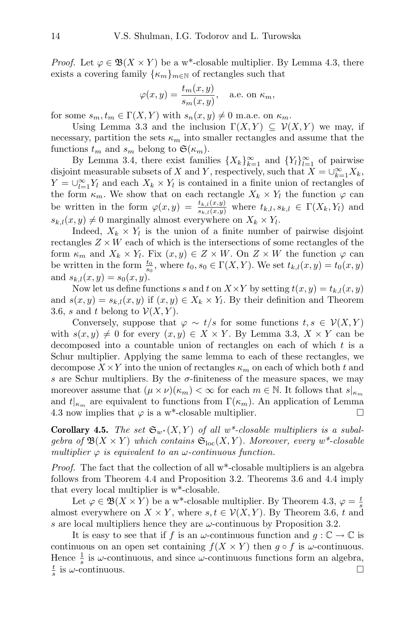*Proof.* Let  $\varphi \in \mathfrak{B}(X \times Y)$  be a w<sup>\*</sup>-closable multiplier. By Lemma 4.3, there exists a covering family  $\{\kappa_m\}_{m\in\mathbb{N}}$  of rectangles such that

$$
\varphi(x, y) = \frac{t_m(x, y)}{s_m(x, y)},
$$
 a.e. on  $\kappa_m$ ,

for some  $s_m, t_m \in \Gamma(X, Y)$  with  $s_n(x, y) \neq 0$  m.a.e. on  $\kappa_m$ .

Using Lemma 3.3 and the inclusion  $\Gamma(X, Y) \subseteq V(X, Y)$  we may, if necessary, partition the sets  $\kappa_m$  into smaller rectangles and assume that the functions  $t_m$  and  $s_m$  belong to  $\mathfrak{S}(\kappa_m)$ .

By Lemma 3.4, there exist families  $\{X_k\}_{k=1}^{\infty}$  and  $\{Y_l\}_{l=1}^{\infty}$  of pairwise disjoint measurable subsets of X and Y, respectively, such that  $X = \bigcup_{k=1}^{\infty} X_k$ ,  $Y = \bigcup_{l=1}^{\infty} Y_l$  and each  $X_k \times Y_l$  is contained in a finite union of rectangles of the form  $\kappa_m$ . We show that on each rectangle  $X_k \times Y_l$  the function  $\varphi$  can be written in the form  $\varphi(x,y) = \frac{t_{k,l}(x,y)}{s_{k,l}(x,y)}$  where  $t_{k,l}, s_{k,l} \in \Gamma(X_k,Y_l)$  and  $s_{k,l}(x, y) \neq 0$  marginally almost everywhere on  $X_k \times Y_l$ .

Indeed,  $X_k \times Y_l$  is the union of a finite number of pairwise disjoint rectangles  $Z \times W$  each of which is the intersections of some rectangles of the form  $\kappa_m$  and  $X_k \times Y_l$ . Fix  $(x, y) \in Z \times W$ . On  $Z \times W$  the function  $\varphi$  can be written in the form  $\frac{t_0}{s_0}$ , where  $t_0, s_0 \in \Gamma(X, Y)$ . We set  $t_{k,l}(x, y) = t_0(x, y)$ and  $s_{k,l}(x, y) = s_0(x, y)$ .

Now let us define functions s and t on  $X \times Y$  by setting  $t(x, y) = t_{k,l}(x, y)$ and  $s(x, y) = s_{k,l}(x, y)$  if  $(x, y) \in X_k \times Y_l$ . By their definition and Theorem 3.6, s and t belong to  $\mathcal{V}(X, Y)$ .

Conversely, suppose that  $\varphi \sim t/s$  for some functions  $t, s \in V(X, Y)$ with  $s(x, y) \neq 0$  for every  $(x, y) \in X \times Y$ . By Lemma 3.3,  $X \times Y$  can be decomposed into a countable union of rectangles on each of which t is a Schur multiplier. Applying the same lemma to each of these rectangles, we decompose  $X \times Y$  into the union of rectangles  $\kappa_m$  on each of which both t and s are Schur multipliers. By the  $\sigma$ -finiteness of the measure spaces, we may moreover assume that  $(\mu \times \nu)(\kappa_m) < \infty$  for each  $m \in \mathbb{N}$ . It follows that  $s|_{\kappa_m}$ and  $t|_{\kappa_m}$  are equivalent to functions from  $\Gamma(\kappa_m)$ . An application of Lemma 4.3 now implies that  $\varphi$  is a w<sup>\*</sup>-closable multiplier.

**Corollary 4.5.** The set  $\mathfrak{S}_{w^*}(X, Y)$  of all w<sup>\*</sup>-closable multipliers is a subalgebra of  $\mathfrak{B}(X \times Y)$  which contains  $\mathfrak{S}_{\mathrm{loc}}(X, Y)$ . Moreover, every w<sup>\*</sup>-closable multiplier  $\varphi$  is equivalent to an  $\omega$ -continuous function.

Proof. The fact that the collection of all w\*-closable multipliers is an algebra follows from Theorem 4.4 and Proposition 3.2. Theorems 3.6 and 4.4 imply that every local multiplier is w\*-closable.

Let  $\varphi \in \mathfrak{B}(X \times Y)$  be a w<sup>\*</sup>-closable multiplier. By Theorem 4.3,  $\varphi = \frac{t}{s}$ almost everywhere on  $X \times Y$ , where  $s, t \in V(X, Y)$ . By Theorem 3.6, t and s are local multipliers hence they are  $\omega$ -continuous by Proposition 3.2.

It is easy to see that if f is an  $\omega$ -continuous function and  $g: \mathbb{C} \to \mathbb{C}$  is continuous on an open set containing  $f(X \times Y)$  then  $g \circ f$  is  $\omega$ -continuous. Hence  $\frac{1}{s}$  is  $\omega$ -continuous, and since  $\omega$ -continuous functions form an algebra,  $\frac{t}{s}$  is  $\omega$ -continuous.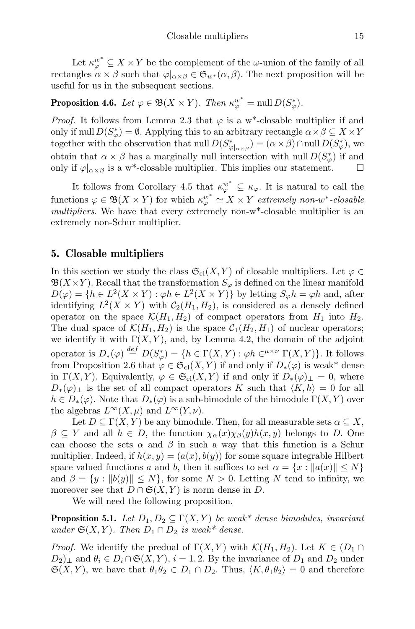Let  $\kappa_{\varphi}^{w^*} \subseteq X \times Y$  be the complement of the  $\omega$ -union of the family of all rectangles  $\alpha \times \beta$  such that  $\varphi|_{\alpha \times \beta} \in \mathfrak{S}_{w^*}(\alpha, \beta)$ . The next proposition will be useful for us in the subsequent sections.

## **Proposition 4.6.** Let  $\varphi \in \mathfrak{B}(X \times Y)$ . Then  $\kappa_{\varphi}^{w^*} = \text{null } D(S_{\varphi}^*)$ .

*Proof.* It follows from Lemma 2.3 that  $\varphi$  is a w<sup>\*</sup>-closable multiplier if and only if null  $D(S^*_{\varphi}) = \emptyset$ . Applying this to an arbitrary rectangle  $\alpha \times \beta \subseteq X \times Y$ together with the observation that null  $D(S_{\varphi|_{\alpha\times\beta}}^*) = (\alpha \times \beta) \cap \text{null} D(S_{\varphi}^*)$ , we obtain that  $\alpha \times \beta$  has a marginally null intersection with null  $D(S^*_{\varphi})$  if and only if  $\varphi|_{\alpha \times \beta}$  is a w<sup>\*</sup>-closable multiplier. This implies our statement.  $\square$ 

It follows from Corollary 4.5 that  $\kappa_{\varphi}^{w^*} \subseteq \kappa_{\varphi}$ . It is natural to call the functions  $\varphi \in \mathfrak{B}(X \times Y)$  for which  $\kappa_{\varphi}^{w^*} \simeq X \times Y$  extremely non-w<sup>\*</sup>-closable multipliers. We have that every extremely non-w<sup>\*</sup>-closable multiplier is an extremely non-Schur multiplier.

## 5. Closable multipliers

In this section we study the class  $\mathfrak{S}_{\text{cl}}(X, Y)$  of closable multipliers. Let  $\varphi \in$  $\mathfrak{B}(X\times Y)$ . Recall that the transformation  $S_{\varphi}$  is defined on the linear manifold  $D(\varphi) = \{ h \in L^2(X \times Y) : \varphi h \in L^2(X \times Y) \}$  by letting  $S_{\varphi}h = \varphi h$  and, after identifying  $L^2(X \times Y)$  with  $C_2(H_1, H_2)$ , is considered as a densely defined operator on the space  $\mathcal{K}(H_1, H_2)$  of compact operators from  $H_1$  into  $H_2$ . The dual space of  $\mathcal{K}(H_1, H_2)$  is the space  $\mathcal{C}_1(H_2, H_1)$  of nuclear operators; we identify it with  $\Gamma(X, Y)$ , and, by Lemma 4.2, the domain of the adjoint operator is  $D_*(\varphi) \stackrel{def}{=} D(S^*_{\varphi}) = \{h \in \Gamma(X,Y) : \varphi h \in^{\mu \times \nu} \Gamma(X,Y)\}\.$  It follows from Proposition 2.6 that  $\varphi \in \mathfrak{S}_{\text{cl}}(X, Y)$  if and only if  $D_*(\varphi)$  is weak\* dense in  $\Gamma(X, Y)$ . Equivalently,  $\varphi \in \mathfrak{S}_{\text{cl}}(X, Y)$  if and only if  $D_*(\varphi)_\perp = 0$ , where  $D_*(\varphi)_\perp$  is the set of all compact operators K such that  $\langle K, h \rangle = 0$  for all  $h \in D_*(\varphi)$ . Note that  $D_*(\varphi)$  is a sub-bimodule of the bimodule  $\Gamma(X, Y)$  over the algebras  $L^{\infty}(X,\mu)$  and  $L^{\infty}(Y,\nu)$ .

Let  $D \subseteq \Gamma(X, Y)$  be any bimodule. Then, for all measurable sets  $\alpha \subseteq X$ ,  $\beta \subseteq Y$  and all  $h \in D$ , the function  $\chi_{\alpha}(x)\chi_{\beta}(y)h(x, y)$  belongs to D. One can choose the sets  $\alpha$  and  $\beta$  in such a way that this function is a Schur multiplier. Indeed, if  $h(x, y) = (a(x), b(y))$  for some square integrable Hilbert space valued functions a and b, then it suffices to set  $\alpha = \{x : ||a(x)|| \leq N\}$ and  $\beta = \{y : ||b(y)|| \le N\}$ , for some  $N > 0$ . Letting N tend to infinity, we moreover see that  $D \cap \mathfrak{S}(X, Y)$  is norm dense in D.

We will need the following proposition.

**Proposition 5.1.** Let  $D_1, D_2 \subseteq \Gamma(X, Y)$  be weak\* dense bimodules, invariant under  $\mathfrak{S}(X,Y)$ . Then  $D_1 \cap D_2$  is weak\* dense.

*Proof.* We identify the predual of  $\Gamma(X, Y)$  with  $\mathcal{K}(H_1, H_2)$ . Let  $K \in (D_1 \cap$  $D_2$ <sub>⊥</sub> and  $\theta_i \in D_i \cap \mathfrak{S}(X,Y)$ ,  $i = 1, 2$ . By the invariance of  $D_1$  and  $D_2$  under  $\mathfrak{S}(X, Y)$ , we have that  $\theta_1 \theta_2 \in D_1 \cap D_2$ . Thus,  $\langle K, \theta_1 \theta_2 \rangle = 0$  and therefore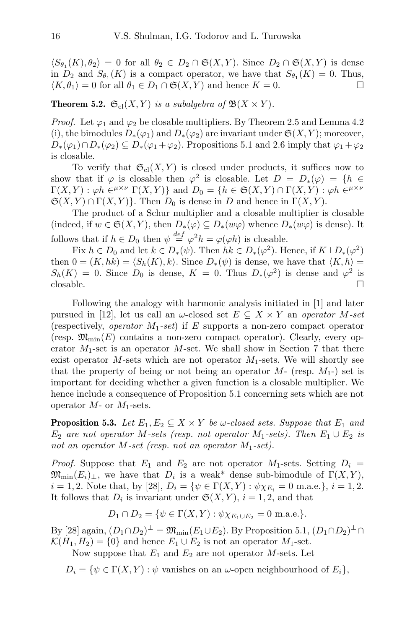$\langle S_{\theta_1}(K), \theta_2 \rangle = 0$  for all  $\theta_2 \in D_2 \cap \mathfrak{S}(X, Y)$ . Since  $D_2 \cap \mathfrak{S}(X, Y)$  is dense in  $D_2$  and  $S_{\theta_1}(K)$  is a compact operator, we have that  $S_{\theta_1}(K) = 0$ . Thus,  $\langle K, \theta_1 \rangle = 0$  for all  $\theta_1 \in D_1 \cap \mathfrak{S}(X, Y)$  and hence  $K = 0$ .

**Theorem 5.2.**  $\mathfrak{S}_{\text{cl}}(X, Y)$  is a subalgebra of  $\mathfrak{B}(X \times Y)$ .

*Proof.* Let  $\varphi_1$  and  $\varphi_2$  be closable multipliers. By Theorem 2.5 and Lemma 4.2 (i), the bimodules  $D_*(\varphi_1)$  and  $D_*(\varphi_2)$  are invariant under  $\mathfrak{S}(X,Y)$ ; moreover,  $D_*(\varphi_1)\cap D_*(\varphi_2)\subseteq D_*(\varphi_1+\varphi_2)$ . Propositions 5.1 and 2.6 imply that  $\varphi_1+\varphi_2$ is closable.

To verify that  $\mathfrak{S}_{\text{cl}}(X, Y)$  is closed under products, it suffices now to show that if  $\varphi$  is closable then  $\varphi^2$  is closable. Let  $D = D_*(\varphi) = \{h \in$  $\Gamma(X,Y) : \varphi h \in^{\mu \times \nu} \Gamma(X,Y) \}$  and  $D_0 = \{ h \in \mathfrak{S}(X,Y) \cap \Gamma(X,Y) : \varphi h \in^{\mu \times \nu} \nu \}$  $\mathfrak{S}(X,Y) \cap \Gamma(X,Y)$ . Then  $D_0$  is dense in D and hence in  $\Gamma(X,Y)$ .

The product of a Schur multiplier and a closable multiplier is closable (indeed, if  $w \in \mathfrak{S}(X,Y)$ , then  $D_*(\varphi) \subseteq D_*(w\varphi)$  whence  $D_*(w\varphi)$  is dense). It follows that if  $h \in D_0$  then  $\psi \stackrel{def}{=} \varphi^2 h = \varphi(\varphi h)$  is closable.

Fix  $h \in D_0$  and let  $k \in D_*(\psi)$ . Then  $hk \in D_*(\varphi^2)$ . Hence, if  $K \perp D_*(\varphi^2)$ then  $0 = (K, hk) = \langle S_h(K), k \rangle$ . Since  $D_*(\psi)$  is dense, we have that  $\langle K, h \rangle =$  $S_h(K) = 0$ . Since  $D_0$  is dense,  $K = 0$ . Thus  $D_*(\varphi^2)$  is dense and  $\varphi^2$  is  $\Box$ closable.

Following the analogy with harmonic analysis initiated in [1] and later pursued in [12], let us call an  $\omega$ -closed set  $E \subseteq X \times Y$  an *operator M-set* (respectively, *operator*  $M_1$ -set) if E supports a non-zero compact operator (resp.  $\mathfrak{M}_{\text{min}}(E)$  contains a non-zero compact operator). Clearly, every operator  $M_1$ -set is an operator M-set. We shall show in Section 7 that there exist operator M-sets which are not operator  $M_1$ -sets. We will shortly see that the property of being or not being an operator  $M$ - (resp.  $M_1$ -) set is important for deciding whether a given function is a closable multiplier. We hence include a consequence of Proposition 5.1 concerning sets which are not operator  $M$ - or  $M_1$ -sets.

**Proposition 5.3.** Let  $E_1, E_2 \subseteq X \times Y$  be w-closed sets. Suppose that  $E_1$  and  $E_2$  are not operator M-sets (resp. not operator  $M_1$ -sets). Then  $E_1 \cup E_2$  is not an operator M-set (resp. not an operator  $M_1$ -set).

*Proof.* Suppose that  $E_1$  and  $E_2$  are not operator  $M_1$ -sets. Setting  $D_i =$  $\mathfrak{M}_{\text{min}}(E_i)_\perp$ , we have that  $D_i$  is a weak\* dense sub-bimodule of  $\Gamma(X, Y)$ ,  $i = 1, 2$ . Note that, by [28],  $D_i = \{ \psi \in \Gamma(X, Y) : \psi \chi_{E_i} = 0 \text{ m.a.e.} \}, i = 1, 2$ . It follows that  $D_i$  is invariant under  $\mathfrak{S}(X,Y)$ ,  $i = 1, 2$ , and that

$$
D_1 \cap D_2 = \{ \psi \in \Gamma(X, Y) : \psi \chi_{E_1 \cup E_2} = 0 \text{ m.a.e.} \}.
$$

By [28] again,  $(D_1 \cap D_2)^{\perp} = \mathfrak{M}_{\text{min}}(E_1 \cup E_2)$ . By Proposition 5.1,  $(D_1 \cap D_2)^{\perp} \cap$  $\mathcal{K}(H_1, H_2) = \{0\}$  and hence  $E_1 \cup E_2$  is not an operator  $M_1$ -set.

Now suppose that  $E_1$  and  $E_2$  are not operator M-sets. Let

 $D_i = \{ \psi \in \Gamma(X, Y) : \psi \text{ vanishes on an } \omega \text{-open neighbourhood of } E_i \},\$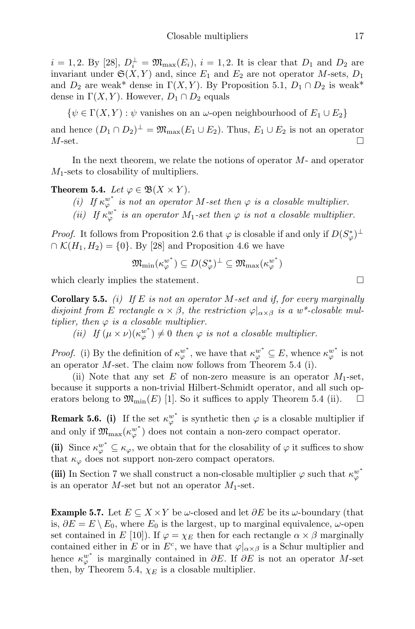$i = 1, 2$ . By [28],  $D_i^{\perp} = \mathfrak{M}_{\max}(E_i)$ ,  $i = 1, 2$ . It is clear that  $D_1$  and  $D_2$  are invariant under  $\mathfrak{S}(X, Y)$  and, since  $E_1$  and  $E_2$  are not operator M-sets,  $D_1$ and  $D_2$  are weak\* dense in  $\Gamma(X, Y)$ . By Proposition 5.1,  $D_1 \cap D_2$  is weak\* dense in  $\Gamma(X, Y)$ . However,  $D_1 \cap D_2$  equals

 $\{\psi \in \Gamma(X, Y) : \psi$  vanishes on an  $\omega$ -open neighbourhood of  $E_1 \cup E_2\}$ 

and hence  $(D_1 \cap D_2)^{\perp} = \mathfrak{M}_{\max}(E_1 \cup E_2)$ . Thus,  $E_1 \cup E_2$  is not an operator  $M$ -set.

In the next theorem, we relate the notions of operator  $M$ - and operator  $M_1$ -sets to closability of multipliers.

**Theorem 5.4.** Let  $\varphi \in \mathfrak{B}(X \times Y)$ .

(i) If  $\kappa_{\varphi}^{w^*}$  is not an operator M-set then  $\varphi$  is a closable multiplier. (ii) If  $\kappa_{\varphi}^{w^*}$  is an operator  $M_1$ -set then  $\varphi$  is not a closable multiplier.

*Proof.* It follows from Proposition 2.6 that  $\varphi$  is closable if and only if  $D(S^*_{\varphi})^{\perp}$  $\cap$  K(H<sub>1</sub>, H<sub>2</sub>) = {0}. By [28] and Proposition 4.6 we have

$$
\mathfrak{M}_{\mathrm{min}}(\kappa_\varphi^{w^*}) \subseteq D(S_\varphi^*)^{\perp} \subseteq \mathfrak{M}_{\mathrm{max}}(\kappa_\varphi^{w^*})
$$

which clearly implies the statement.  $\Box$ 

**Corollary 5.5.** (i) If E is not an operator M-set and if, for every marginally disjoint from E rectangle  $\alpha \times \beta$ , the restriction  $\varphi|_{\alpha \times \beta}$  is a w\*-closable multiplier, then  $\varphi$  is a closable multiplier.

(ii) If  $(\mu \times \nu)(\kappa_{\varphi}^{w^*}) \neq 0$  then  $\varphi$  is not a closable multiplier.

*Proof.* (i) By the definition of  $\kappa_{\varphi}^{w^*}$ , we have that  $\kappa_{\varphi}^{w^*} \subseteq E$ , whence  $\kappa_{\varphi}^{w^*}$  is not an operator M-set. The claim now follows from Theorem 5.4 (i).

(ii) Note that any set E of non-zero measure is an operator  $M_1$ -set, because it supports a non-trivial Hilbert-Schmidt operator, and all such operators belong to  $\mathfrak{M}_{\text{min}}(E)$  [1]. So it suffices to apply Theorem 5.4 (ii).  $\Box$ 

**Remark 5.6.** (i) If the set  $\kappa_{\varphi}^{w^*}$  is synthetic then  $\varphi$  is a closable multiplier if and only if  $\mathfrak{M}_{\max}(\kappa_{\varphi}^{w^*})$  does not contain a non-zero compact operator.

(ii) Since  $\kappa_{\varphi}^{w^*} \subseteq \kappa_{\varphi}$ , we obtain that for the closability of  $\varphi$  it suffices to show that  $\kappa_{\varphi}$  does not support non-zero compact operators.

(iii) In Section 7 we shall construct a non-closable multiplier  $\varphi$  such that  $\kappa_\varphi^{w^*}$ is an operator  $M$ -set but not an operator  $M_1$ -set.

**Example 5.7.** Let  $E \subseteq X \times Y$  be  $\omega$ -closed and let  $\partial E$  be its  $\omega$ -boundary (that is,  $\partial E = E \setminus E_0$ , where  $E_0$  is the largest, up to marginal equivalence,  $\omega$ -open set contained in E [10]). If  $\varphi = \chi_E$  then for each rectangle  $\alpha \times \beta$  marginally contained either in E or in  $E^c$ , we have that  $\varphi|_{\alpha \times \beta}$  is a Schur multiplier and hence  $\kappa_{\varphi}^{w^*}$  is marginally contained in  $\partial E$ . If  $\partial E$  is not an operator M-set then, by Theorem 5.4,  $\chi_E$  is a closable multiplier.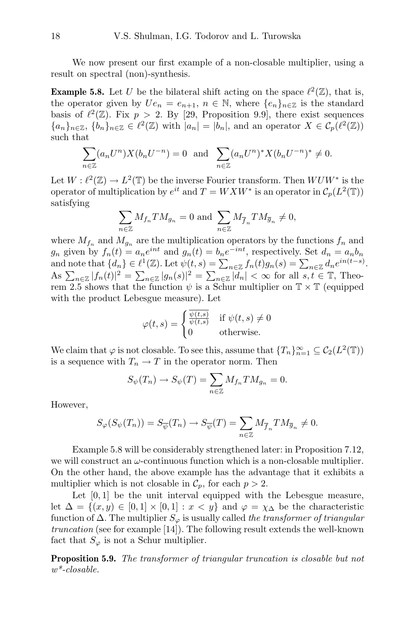We now present our first example of a non-closable multiplier, using a result on spectral (non)-synthesis.

**Example 5.8.** Let U be the bilateral shift acting on the space  $\ell^2(\mathbb{Z})$ , that is, the operator given by  $U_{e_n} = e_{n+1}, n \in \mathbb{N}$ , where  $\{e_n\}_{n \in \mathbb{Z}}$  is the standard basis of  $\ell^2(\mathbb{Z})$ . Fix  $p > 2$ . By [29, Proposition 9.9], there exist sequences  ${a_n}_{n\in\mathbb{Z}}$ ,  ${b_n}_{n\in\mathbb{Z}} \in \ell^2(\mathbb{Z})$  with  $|a_n| = |b_n|$ , and an operator  $X \in C_p(\ell^2(\mathbb{Z}))$ such that

$$
\sum_{n \in \mathbb{Z}} (a_n U^n) X(b_n U^{-n}) = 0 \text{ and } \sum_{n \in \mathbb{Z}} (a_n U^n)^* X(b_n U^{-n})^* \neq 0.
$$

Let  $W: \ell^2(\mathbb{Z}) \to L^2(\mathbb{T})$  be the inverse Fourier transform. Then  $W U W^*$  is the operator of multiplication by  $e^{it}$  and  $T = W X W^*$  is an operator in  $\mathcal{C}_p(L^2(\mathbb{T}))$ satisfying

$$
\sum_{n\in\mathbb{Z}}M_{f_n}TM_{g_n}=0 \text{ and } \sum_{n\in\mathbb{Z}}M_{\overline{f}_n}TM_{\overline{g}_n}\neq 0,
$$

where  $M_{f_n}$  and  $M_{g_n}$  are the multiplication operators by the functions  $f_n$  and  $g_n$  given by  $f_n(t) = a_n e^{int}$  and  $g_n(t) = b_n e^{-int}$ , respectively. Set  $d_n = a_n b_n$ and note that  $\{d_n\} \in \ell^1(\mathbb{Z})$ . Let  $\psi(t, s) = \sum_{n \in \mathbb{Z}} f_n(t) g_n(s) = \sum_{n \in \mathbb{Z}} d_n e^{in(t-s)}$ . As  $\sum_{n\in\mathbb{Z}}|f_n(t)|^2=\sum_{n\in\mathbb{Z}}|g_n(s)|^2=\sum_{n\in\mathbb{Z}}|d_n|<\infty$  for all  $s,t\in\mathbb{T}$ , Theorem 2.5 shows that the function  $\psi$  is a Schur multiplier on  $\mathbb{T} \times \mathbb{T}$  (equipped with the product Lebesgue measure). Let

$$
\varphi(t,s) = \begin{cases} \frac{\overline{\psi(t,s)}}{\psi(t,s)} & \text{if } \psi(t,s) \neq 0\\ 0 & \text{otherwise.} \end{cases}
$$

We claim that  $\varphi$  is not closable. To see this, assume that  $\{T_n\}_{n=1}^{\infty} \subseteq C_2(L^2(\mathbb{T}))$ is a sequence with  $T_n \to T$  in the operator norm. Then

$$
S_{\psi}(T_n) \to S_{\psi}(T) = \sum_{n \in \mathbb{Z}} M_{f_n} T M_{g_n} = 0.
$$

However,

$$
S_{\varphi}(S_{\psi}(T_n)) = S_{\overline{\psi}}(T_n) \to S_{\overline{\psi}}(T) = \sum_{n \in \mathbb{Z}} M_{\overline{f}_n} T M_{\overline{g}_n} \neq 0.
$$

Example 5.8 will be considerably strengthened later: in Proposition 7.12, we will construct an  $\omega$ -continuous function which is a non-closable multiplier. On the other hand, the above example has the advantage that it exhibits a multiplier which is not closable in  $\mathcal{C}_p$ , for each  $p > 2$ .

Let  $[0, 1]$  be the unit interval equipped with the Lebesgue measure, let  $\Delta = \{(x, y) \in [0, 1] \times [0, 1] : x < y\}$  and  $\varphi = \chi_{\Delta}$  be the characteristic function of  $\Delta$ . The multiplier  $S_{\varphi}$  is usually called the transformer of triangular truncation (see for example [14]). The following result extends the well-known fact that  $S_{\varphi}$  is not a Schur multiplier.

Proposition 5.9. The transformer of triangular truncation is closable but not w\*-closable.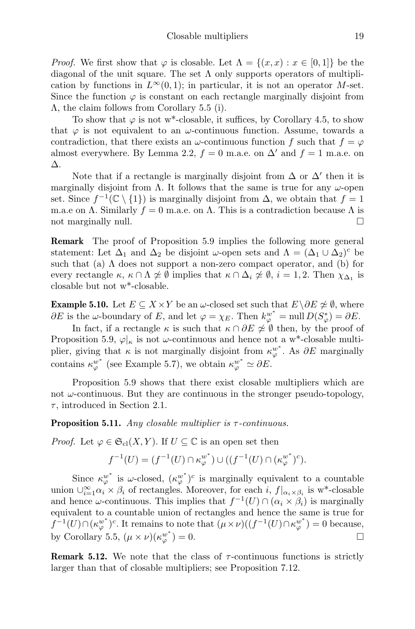*Proof.* We first show that  $\varphi$  is closable. Let  $\Lambda = \{(x, x) : x \in [0, 1]\}$  be the diagonal of the unit square. The set  $\Lambda$  only supports operators of multiplication by functions in  $L^{\infty}(0, 1)$ ; in particular, it is not an operator M-set. Since the function  $\varphi$  is constant on each rectangle marginally disjoint from Λ, the claim follows from Corollary 5.5 (i).

To show that  $\varphi$  is not w<sup>\*</sup>-closable, it suffices, by Corollary 4.5, to show that  $\varphi$  is not equivalent to an  $\omega$ -continuous function. Assume, towards a contradiction, that there exists an  $\omega$ -continuous function f such that  $f = \varphi$ almost everywhere. By Lemma 2.2,  $f = 0$  m.a.e. on  $\Delta'$  and  $f = 1$  m.a.e. on ∆.

Note that if a rectangle is marginally disjoint from  $\Delta$  or  $\Delta'$  then it is marginally disjoint from  $\Lambda$ . It follows that the same is true for any  $\omega$ -open set. Since  $f^{-1}(\mathbb{C} \setminus \{1\})$  is marginally disjoint from  $\Delta$ , we obtain that  $f = 1$ m.a.e on Λ. Similarly  $f = 0$  m.a.e. on Λ. This is a contradiction because Λ is not marginally null.

Remark The proof of Proposition 5.9 implies the following more general statement: Let  $\Delta_1$  and  $\Delta_2$  be disjoint  $\omega$ -open sets and  $\Lambda = (\Delta_1 \cup \Delta_2)^c$  be such that (a)  $\Lambda$  does not support a non-zero compact operator, and (b) for every rectangle  $\kappa$ ,  $\kappa \cap \Lambda \neq \emptyset$  implies that  $\kappa \cap \Delta_i \neq \emptyset$ ,  $i = 1, 2$ . Then  $\chi_{\Delta_1}$  is closable but not w\*-closable.

**Example 5.10.** Let  $E \subseteq X \times Y$  be an  $\omega$ -closed set such that  $E \setminus \partial E \neq \emptyset$ , where  $\partial E$  is the  $\omega$ -boundary of E, and let  $\varphi = \chi_E$ . Then  $k_{\varphi}^{w^*} = \text{null} D(S_{\varphi}^*) = \partial E$ .

In fact, if a rectangle  $\kappa$  is such that  $\kappa \cap \partial E \not\cong \emptyset$  then, by the proof of Proposition 5.9,  $\varphi|_{\kappa}$  is not  $\omega$ -continuous and hence not a w<sup>\*</sup>-closable multiplier, giving that  $\kappa$  is not marginally disjoint from  $\kappa_{\varphi}^{w^*}$ . As  $\partial E$  marginally contains  $\kappa_{\varphi}^{w^*}$  (see Example 5.7), we obtain  $\kappa_{\varphi}^{w^*} \simeq \partial E$ .

Proposition 5.9 shows that there exist closable multipliers which are not  $\omega$ -continuous. But they are continuous in the stronger pseudo-topology,  $\tau$ , introduced in Section 2.1.

**Proposition 5.11.** Any closable multiplier is  $\tau$ -continuous.

*Proof.* Let  $\varphi \in \mathfrak{S}_{\text{cl}}(X, Y)$ . If  $U \subseteq \mathbb{C}$  is an open set then

$$
f^{-1}(U) = (f^{-1}(U) \cap \kappa_{\varphi}^{w^*}) \cup ((f^{-1}(U) \cap (\kappa_{\varphi}^{w^*})^c).
$$

Since  $\kappa_{\varphi}^{w^*}$  is  $\omega$ -closed,  $(\kappa_{\varphi}^{w^*})^c$  is marginally equivalent to a countable union  $\bigcup_{i=1}^{\infty} \alpha_i \times \beta_i$  of rectangles. Moreover, for each i,  $f|_{\alpha_i \times \beta_i}$  is w<sup>\*</sup>-closable and hence  $\omega$ -continuous. This implies that  $f^{-1}(U) \cap (\alpha_i \times \beta_i)$  is marginally equivalent to a countable union of rectangles and hence the same is true for  $f^{-1}(U) \cap (\kappa_\varphi^{w^*})^c$ . It remains to note that  $(\mu \times \nu)((f^{-1}(U) \cap \kappa_\varphi^{w^*}) = 0$  because, by Corollary 5.5,  $(\mu \times \nu)(\kappa_{\varphi}^{w^*}) = 0.$ 

**Remark 5.12.** We note that the class of  $\tau$ -continuous functions is strictly larger than that of closable multipliers; see Proposition 7.12.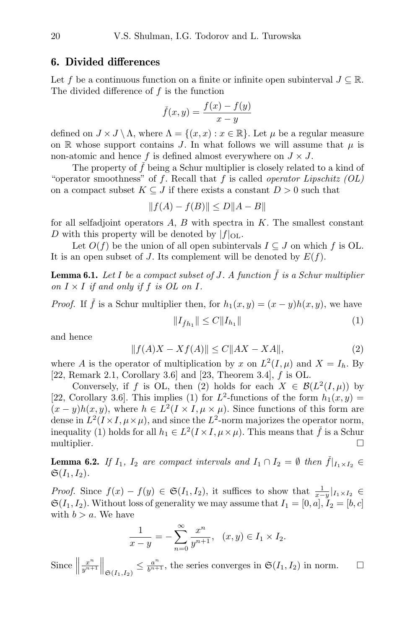#### 6. Divided differences

Let f be a continuous function on a finite or infinite open subinterval  $J \subseteq \mathbb{R}$ . The divided difference of  $f$  is the function

$$
\check{f}(x,y) = \frac{f(x) - f(y)}{x - y}
$$

defined on  $J \times J \setminus \Lambda$ , where  $\Lambda = \{(x, x) : x \in \mathbb{R}\}$ . Let  $\mu$  be a regular measure on R whose support contains J. In what follows we will assume that  $\mu$  is non-atomic and hence f is defined almost everywhere on  $J \times J$ .

The property of  $\check{f}$  being a Schur multiplier is closely related to a kind of "operator smoothness" of f. Recall that f is called *operator Lipschitz*  $(OL)$ on a compact subset  $K \subseteq J$  if there exists a constant  $D > 0$  such that

$$
||f(A) - f(B)|| \le D||A - B||
$$

for all selfadjoint operators  $A, B$  with spectra in  $K$ . The smallest constant D with this property will be denoted by  $|f|_{\text{OL}}$ .

Let  $O(f)$  be the union of all open subintervals  $I \subseteq J$  on which f is OL. It is an open subset of J. Its complement will be denoted by  $E(f)$ .

**Lemma 6.1.** Let I be a compact subset of J. A function  $\check{f}$  is a Schur multiplier on  $I \times I$  if and only if f is OL on I.

*Proof.* If  $\check{f}$  is a Schur multiplier then, for  $h_1(x, y) = (x - y)h(x, y)$ , we have

$$
||I_{\check{f}h_1}|| \le C||I_{h_1}|| \tag{1}
$$

and hence

$$
||f(A)X - Xf(A)|| \le C||AX - XA||,
$$
\n(2)

where A is the operator of multiplication by x on  $L^2(I,\mu)$  and  $X = I_h$ . By [22, Remark 2.1, Corollary 3.6] and [23, Theorem 3.4],  $f$  is OL.

Conversely, if f is OL, then (2) holds for each  $X \in \mathcal{B}(L^2(I,\mu))$  by [22, Corollary 3.6]. This implies (1) for  $L^2$ -functions of the form  $h_1(x,y) =$  $(x - y)h(x, y)$ , where  $h \in L^2(I \times I, \mu \times \mu)$ . Since functions of this form are dense in  $L^2(I \times I, \mu \times \mu)$ , and since the  $L^2$ -norm majorizes the operator norm, inequality (1) holds for all  $h_1 \in L^2(I \times I, \mu \times \mu)$ . This means that  $\check{f}$  is a Schur multiplier.

**Lemma 6.2.** If  $I_1$ ,  $I_2$  are compact intervals and  $I_1 \cap I_2 = \emptyset$  then  $\check{f}|_{I_1 \times I_2} \in$  $\mathfrak{S}(I_1,I_2)$ .

*Proof.* Since  $f(x) - f(y) \in \mathfrak{S}(I_1, I_2)$ , it suffices to show that  $\frac{1}{x-y}|_{I_1 \times I_2} \in$  $\mathfrak{S}(I_1, I_2)$ . Without loss of generality we may assume that  $I_1 = [0, a], I_2 = [b, c]$ with  $b > a$ . We have

$$
\frac{1}{x-y} = -\sum_{n=0}^{\infty} \frac{x^n}{y^{n+1}}, \quad (x,y) \in I_1 \times I_2.
$$

Since  $\parallel$  $x^n$  $\mathbb{E}_{y^{n+1}}^{x^n} \Big\|_{\mathfrak{S}(I_1,I_2)} \leq \frac{a^n}{b^{n+1}}$ , the series converges in  $\mathfrak{S}(I_1,I_2)$  in norm.  $\square$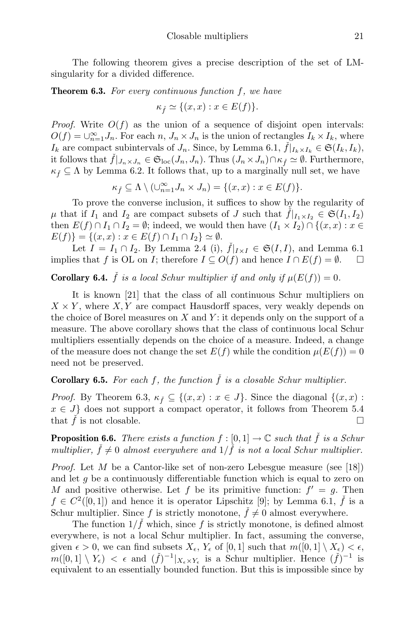The following theorem gives a precise description of the set of LMsingularity for a divided difference.

**Theorem 6.3.** For every continuous function  $f$ , we have

$$
\kappa_{\check f} \simeq \{(x,x): x \in E(f)\}.
$$

*Proof.* Write  $O(f)$  as the union of a sequence of disjoint open intervals:  $O(f) = \bigcup_{n=1}^{\infty} J_n$ . For each  $n, J_n \times J_n$  is the union of rectangles  $I_k \times I_k$ , where  $I_k$  are compact subintervals of  $J_n$ . Since, by Lemma 6.1,  $\check{f}|_{I_k \times I_k} \in \mathfrak{S}(I_k, I_k)$ , it follows that  $\check{f}|_{J_n\times J_n}\in \mathfrak{S}_{\mathrm{loc}}(J_n,J_n)$ . Thus  $(J_n\times J_n)\cap \kappa_{\check{f}}\simeq \emptyset$ . Furthermore,  $\kappa_{\tilde{f}} \subseteq \Lambda$  by Lemma 6.2. It follows that, up to a marginally null set, we have

$$
\kappa_{\check{f}} \subseteq \Lambda \setminus (\cup_{n=1}^{\infty} J_n \times J_n) = \{(x, x) : x \in E(f)\}.
$$

To prove the converse inclusion, it suffices to show by the regularity of  $\mu$  that if  $I_1$  and  $I_2$  are compact subsets of J such that  $f|_{I_1 \times I_2} \in \mathfrak{S}(I_1, I_2)$ then  $E(f) \cap I_1 \cap I_2 = \emptyset$ ; indeed, we would then have  $(I_1 \times I_2) \cap \{(x, x) : x \in$  $E(f)$ } = { $(x, x) : x \in E(f) \cap I_1 \cap I_2$ }  $\simeq \emptyset$ .

Let  $I = I_1 \cap I_2$ . By Lemma 2.4 (i),  $\check{f}|_{I \times I} \in \mathfrak{S}(I, I)$ , and Lemma 6.1 implies that f is OL on I; therefore  $I \subseteq O(f)$  and hence  $I \cap E(f) = \emptyset$ .

**Corollary 6.4.**  $\check{f}$  is a local Schur multiplier if and only if  $\mu(E(f)) = 0$ .

It is known [21] that the class of all continuous Schur multipliers on  $X \times Y$ , where X, Y are compact Hausdorff spaces, very weakly depends on the choice of Borel measures on  $X$  and  $Y$ : it depends only on the support of a measure. The above corollary shows that the class of continuous local Schur multipliers essentially depends on the choice of a measure. Indeed, a change of the measure does not change the set  $E(f)$  while the condition  $\mu(E(f)) = 0$ need not be preserved.

**Corollary 6.5.** For each f, the function  $\check{f}$  is a closable Schur multiplier.

*Proof.* By Theorem 6.3,  $\kappa_{\v{f}} \subseteq \{(x,x): x \in J\}$ . Since the diagonal  $\{(x,x):$  $x \in J$  does not support a compact operator, it follows from Theorem 5.4 that  $\hat{f}$  is not closable.

**Proposition 6.6.** There exists a function  $f : [0,1] \to \mathbb{C}$  such that  $\hat{f}$  is a Schur multiplier,  $\check{f} \neq 0$  almost everywhere and  $1/\check{f}$  is not a local Schur multiplier.

*Proof.* Let  $M$  be a Cantor-like set of non-zero Lebesgue measure (see [18]) and let  $g$  be a continuously differentiable function which is equal to zero on M and positive otherwise. Let f be its primitive function:  $f' = g$ . Then  $f \in C^2([0,1])$  and hence it is operator Lipschitz [9]; by Lemma 6.1,  $\check{f}$  is a Schur multiplier. Since f is strictly monotone,  $\hat{f} \neq 0$  almost everywhere.

The function  $1/\check{f}$  which, since f is strictly monotone, is defined almost everywhere, is not a local Schur multiplier. In fact, assuming the converse, given  $\epsilon > 0$ , we can find subsets  $X_{\epsilon}$ ,  $Y_{\epsilon}$  of [0, 1] such that  $m([0, 1] \setminus X_{\epsilon}) < \epsilon$ ,  $m([0,1] \setminus Y_{\epsilon}) < \epsilon$  and  $({\check{f}})^{-1}|_{X_{\epsilon} \times Y_{\epsilon}}$  is a Schur multiplier. Hence  $({\check{f}})^{-1}$  is equivalent to an essentially bounded function. But this is impossible since by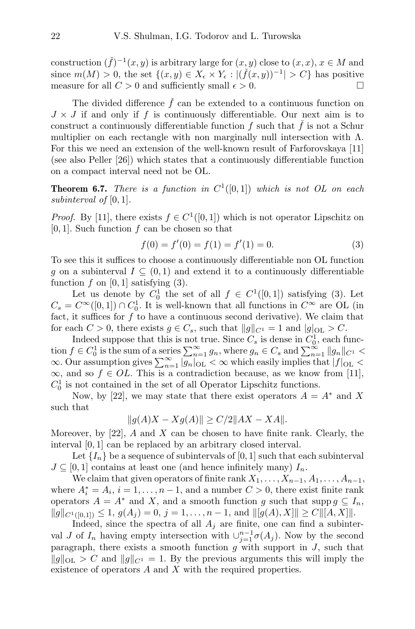construction  $(\check{f})^{-1}(x, y)$  is arbitrary large for  $(x, y)$  close to  $(x, x), x \in M$  and since  $m(M) > 0$ , the set  $\{(x, y) \in X_{\epsilon} \times Y_{\epsilon} : |(\check{f}(x, y))^{-1}| > C\}$  has positive measure for all  $C > 0$  and sufficiently small  $\epsilon > 0$ .

The divided difference  $\check{f}$  can be extended to a continuous function on  $J \times J$  if and only if f is continuously differentiable. Our next aim is to construct a continuously differentiable function f such that  $\check{f}$  is not a Schur multiplier on each rectangle with non marginally null intersection with  $\Lambda$ . For this we need an extension of the well-known result of Farforovskaya [11] (see also Peller [26]) which states that a continuously differentiable function on a compact interval need not be OL.

**Theorem 6.7.** There is a function in  $C^1([0,1])$  which is not OL on each subinterval of  $[0, 1]$ .

*Proof.* By [11], there exists  $f \in C^1([0,1])$  which is not operator Lipschitz on  $[0, 1]$ . Such function f can be chosen so that

$$
f(0) = f'(0) = f(1) = f'(1) = 0.
$$
\n(3)

To see this it suffices to choose a continuously differentiable non OL function g on a subinterval  $I \subseteq (0,1)$  and extend it to a continuously differentiable function  $f$  on [0, 1] satisfying (3).

Let us denote by  $C_0^1$  the set of all  $f \in C^1([0,1])$  satisfying (3). Let  $C_s = C^{\infty}([0,1]) \cap C_0^1$ . It is well-known that all functions in  $C^{\infty}$  are OL (in fact, it suffices for  $f$  to have a continuous second derivative). We claim that for each  $C > 0$ , there exists  $g \in C_s$ , such that  $||g||_{C^1} = 1$  and  $|g|_{\text{OL}} > C$ .

Indeed suppose that this is not true. Since  $C_s$  is dense in  $C_0^1$ , each function  $f \in C_0^1$  is the sum of a series  $\sum_{n=1}^{\infty} g_n$ , where  $g_n \in C_s$  and  $\sum_{n=1}^{\infty} ||g_n||_{C^1}$  $\infty$ . Our assumption gives  $\sum_{n=1}^{\infty} |g_n|_{\text{OL}} < \infty$  which easily implies that  $|f|_{\text{OL}} <$  $\infty$ , and so  $f \in OL$ . This is a contradiction because, as we know from [11],  $C_0^1$  is not contained in the set of all Operator Lipschitz functions.

Now, by [22], we may state that there exist operators  $A = A^*$  and X such that

$$
||g(A)X - Xg(A)|| \ge C/2||AX - XA||.
$$

Moreover, by  $[22]$ , A and X can be chosen to have finite rank. Clearly, the interval [0, 1] can be replaced by an arbitrary closed interval.

Let  $\{I_n\}$  be a sequence of subintervals of [0, 1] such that each subinterval  $J \subseteq [0,1]$  contains at least one (and hence infinitely many)  $I_n$ .

We claim that given operators of finite rank  $X_1, \ldots, X_{n-1}, A_1, \ldots, A_{n-1}$ , where  $A_i^* = A_i$ ,  $i = 1, ..., n - 1$ , and a number  $C > 0$ , there exist finite rank operators  $A = A^*$  and X, and a smooth function g such that supp  $g \subseteq I_n$ ,  $||g||_{C^{1}([0,1])} \leq 1, g(A_i) = 0, j = 1, \ldots, n-1, \text{ and } ||[g(A), X]|| \geq C ||[A, X]||.$ 

Indeed, since the spectra of all  $A_j$  are finite, one can find a subinterval J of  $I_n$  having empty intersection with  $\cup_{j=1}^{n-1} \sigma(A_j)$ . Now by the second paragraph, there exists a smooth function  $g$  with support in  $J$ , such that  $||g||_{\text{OL}} > C$  and  $||g||_{C^1} = 1$ . By the previous arguments this will imply the existence of operators A and X with the required properties.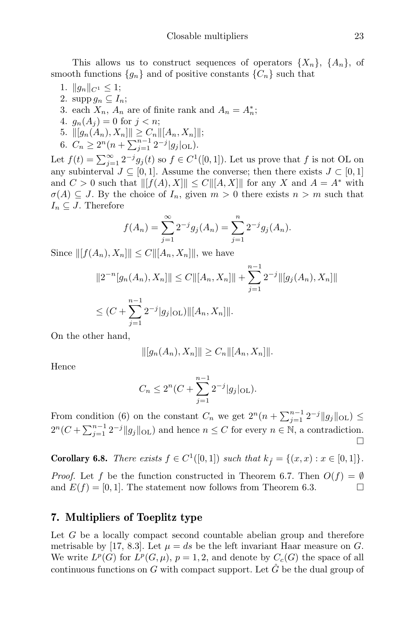This allows us to construct sequences of operators  $\{X_n\}$ ,  $\{A_n\}$ , of smooth functions  ${g_n}$  and of positive constants  ${C_n}$  such that

- 1.  $||g_n||_{C^1} \leq 1;$
- 2. supp  $g_n \subseteq I_n$ ;
- 3. each  $X_n$ ,  $A_n$  are of finite rank and  $A_n = A_n^*$ ;
- 4.  $g_n(A_i) = 0$  for  $j < n$ ;
- 5.  $||[g_n(A_n), X_n]|| \geq C_n ||[A_n, X_n]||;$
- 6.  $C_n \geq 2^n (n + \sum_{j=1}^{n-1} 2^{-j} |g_j|_{\text{OL}}).$

Let  $f(t) = \sum_{j=1}^{\infty} 2^{-j} g_j(t)$  so  $f \in C^1([0, 1])$ . Let us prove that f is not OL on any subinterval  $J \subseteq [0,1]$ . Assume the converse; then there exists  $J \subset [0,1]$ and  $C > 0$  such that  $\| [f(A), X] \| \leq C \| [A, X] \|$  for any X and  $A = A^*$  with  $\sigma(A) \subseteq J$ . By the choice of  $I_n$ , given  $m > 0$  there exists  $n > m$  such that  $I_n \subseteq J$ . Therefore

$$
f(A_n) = \sum_{j=1}^{\infty} 2^{-j} g_j(A_n) = \sum_{j=1}^{n} 2^{-j} g_j(A_n).
$$

Since  $||[f(A_n), X_n]|| \leq C ||[A_n, X_n]||$ , we have

$$
||2^{-n}[g_n(A_n), X_n]|| \le C ||[A_n, X_n]|| + \sum_{j=1}^{n-1} 2^{-j} ||[g_j(A_n), X_n]||
$$
  

$$
\le (C + \sum_{j=1}^{n-1} 2^{-j} |g_j|_{\text{OL}}) ||[A_n, X_n]||.
$$

On the other hand,

$$
\| [g_n(A_n), X_n] \| \ge C_n \| [A_n, X_n] \|.
$$

Hence

$$
C_n \le 2^n (C + \sum_{j=1}^{n-1} 2^{-j} |g_j|_{\text{OL}}).
$$

From condition (6) on the constant  $C_n$  we get  $2^n(n + \sum_{j=1}^{n-1} 2^{-j} ||g_j||_{\text{OL}}) \leq$  $2^{n}(C+\sum_{j=1}^{n-1}2^{-j}||g_{j}||_{\text{OL}})$  and hence  $n \leq C$  for every  $n \in \mathbb{N}$ , a contradiction.  $\Box$ 

**Corollary 6.8.** There exists  $f \in C^1([0,1])$  such that  $k_{\tilde{f}} = \{(x, x) : x \in [0,1]\}.$ 

*Proof.* Let f be the function constructed in Theorem 6.7. Then  $O(f) = \emptyset$ and  $E(f) = [0, 1]$ . The statement now follows from Theorem 6.3.

## 7. Multipliers of Toeplitz type

Let G be a locally compact second countable abelian group and therefore metrisable by [17, 8.3]. Let  $\mu = ds$  be the left invariant Haar measure on G. We write  $L^p(G)$  for  $L^p(G,\mu), p = 1, 2$ , and denote by  $C_c(G)$  the space of all continuous functions on G with compact support. Let  $\hat{G}$  be the dual group of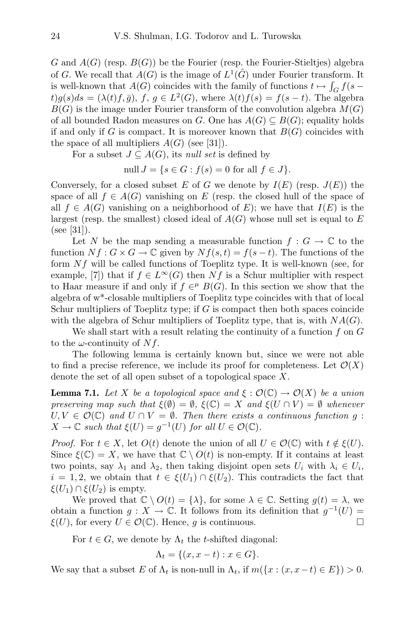G and  $A(G)$  (resp.  $B(G)$ ) be the Fourier (resp. the Fourier-Stieltjes) algebra of G. We recall that  $A(G)$  is the image of  $L^1(\hat{G})$  under Fourier transform. It is well-known that  $A(G)$  coincides with the family of functions  $t \mapsto \int_G f(s$  $t)g(s)ds = (\lambda(t)f,\bar{g}), f, g \in L^2(G)$ , where  $\lambda(t)f(s) = f(s-t)$ . The algebra  $B(G)$  is the image under Fourier transform of the convolution algebra  $M(G)$ of all bounded Radon measures on G. One has  $A(G) \subseteq B(G)$ ; equality holds if and only if G is compact. It is moreover known that  $B(G)$  coincides with the space of all multipliers  $A(G)$  (see [31]).

For a subset  $J \subseteq A(G)$ , its *null set* is defined by

$$
\text{null } J = \{ s \in G : f(s) = 0 \text{ for all } f \in J \}.
$$

Conversely, for a closed subset E of G we denote by  $I(E)$  (resp.  $J(E)$ ) the space of all  $f \in A(G)$  vanishing on E (resp. the closed hull of the space of all  $f \in A(G)$  vanishing on a neighborhood of E); we have that  $I(E)$  is the largest (resp. the smallest) closed ideal of  $A(G)$  whose null set is equal to E (see [31]).

Let N be the map sending a measurable function  $f: G \to \mathbb{C}$  to the function  $Nf: G \times G \to \mathbb{C}$  given by  $Nf(s,t) = f(s-t)$ . The functions of the form  $Nf$  will be called functions of Toeplitz type. It is well-known (see, for example, [7]) that if  $f \in L^{\infty}(G)$  then Nf is a Schur multiplier with respect to Haar measure if and only if  $f \in H$   $B(G)$ . In this section we show that the algebra of w\*-closable multipliers of Toeplitz type coincides with that of local Schur multipliers of Toeplitz type; if  $G$  is compact then both spaces coincide with the algebra of Schur multipliers of Toeplitz type, that is, with  $NA(G)$ .

We shall start with a result relating the continuity of a function  $f$  on  $G$ to the  $\omega$ -continuity of  $Nf$ .

The following lemma is certainly known but, since we were not able to find a precise reference, we include its proof for completeness. Let  $\mathcal{O}(X)$ denote the set of all open subset of a topological space X.

**Lemma 7.1.** Let X be a topological space and  $\xi : \mathcal{O}(\mathbb{C}) \to \mathcal{O}(X)$  be a union preserving map such that  $\xi(\emptyset) = \emptyset$ ,  $\xi(\mathbb{C}) = X$  and  $\xi(U \cap V) = \emptyset$  whenever  $U, V \in \mathcal{O}(\mathbb{C})$  and  $U \cap V = \emptyset$ . Then there exists a continuous function g:  $X \to \mathbb{C}$  such that  $\xi(U) = g^{-1}(U)$  for all  $U \in \mathcal{O}(\mathbb{C})$ .

*Proof.* For  $t \in X$ , let  $O(t)$  denote the union of all  $U \in \mathcal{O}(\mathbb{C})$  with  $t \notin \xi(U)$ . Since  $\xi(\mathbb{C}) = X$ , we have that  $\mathbb{C} \setminus O(t)$  is non-empty. If it contains at least two points, say  $\lambda_1$  and  $\lambda_2$ , then taking disjoint open sets  $U_i$  with  $\lambda_i \in U_i$ ,  $i = 1, 2$ , we obtain that  $t \in \xi(U_1) \cap \xi(U_2)$ . This contradicts the fact that  $\xi(U_1) \cap \xi(U_2)$  is empty.

We proved that  $\mathbb{C} \setminus O(t) = \{\lambda\}$ , for some  $\lambda \in \mathbb{C}$ . Setting  $g(t) = \lambda$ , we obtain a function  $g: X \to \mathbb{C}$ . It follows from its definition that  $g^{-1}(U) =$  $\xi(U)$ , for every  $U \in \mathcal{O}(\mathbb{C})$ . Hence, g is continuous.

For  $t \in G$ , we denote by  $\Lambda_t$  the t-shifted diagonal:

$$
\Lambda_t = \{(x, x - t) : x \in G\}.
$$

We say that a subset E of  $\Lambda_t$  is non-null in  $\Lambda_t$ , if  $m({x : (x, x-t) \in E}) > 0$ .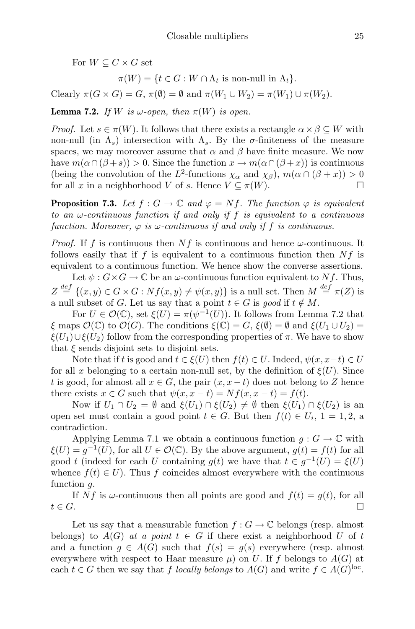For  $W \subseteq C \times G$  set

 $\pi(W) = \{t \in G : W \cap \Lambda_t \text{ is non-null in } \Lambda_t\}.$ 

Clearly  $\pi(G \times G) = G$ ,  $\pi(\emptyset) = \emptyset$  and  $\pi(W_1 \cup W_2) = \pi(W_1) \cup \pi(W_2)$ .

**Lemma 7.2.** If W is  $\omega$ -open, then  $\pi(W)$  is open.

*Proof.* Let  $s \in \pi(W)$ . It follows that there exists a rectangle  $\alpha \times \beta \subseteq W$  with non-null (in  $\Lambda_s$ ) intersection with  $\Lambda_s$ . By the σ-finiteness of the measure spaces, we may moreover assume that  $\alpha$  and  $\beta$  have finite measure. We now have  $m(\alpha \cap (\beta + s)) > 0$ . Since the function  $x \to m(\alpha \cap (\beta + x))$  is continuous (being the convolution of the L<sup>2</sup>-functions  $\chi_{\alpha}$  and  $\chi_{\beta}$ ),  $m(\alpha \cap (\beta + x)) > 0$ for all x in a neighborhood V of s. Hence  $V \subset \pi(W)$ .

**Proposition 7.3.** Let  $f: G \to \mathbb{C}$  and  $\varphi = Nf$ . The function  $\varphi$  is equivalent to an  $\omega$ -continuous function if and only if f is equivalent to a continuous function. Moreover,  $\varphi$  is  $\omega$ -continuous if and only if f is continuous.

*Proof.* If f is continuous then  $Nf$  is continuous and hence  $\omega$ -continuous. It follows easily that if f is equivalent to a continuous function then  $Nf$  is equivalent to a continuous function. We hence show the converse assertions.

Let  $\psi: G \times G \to \mathbb{C}$  be an  $\omega$ -continuous function equivalent to Nf. Thus,  $Z \stackrel{def}{=} \{(x,y) \in G \times G : Nf(x,y) \neq \psi(x,y)\}$  is a null set. Then  $M \stackrel{def}{=} \pi(Z)$  is a null subset of G. Let us say that a point  $t \in G$  is good if  $t \notin M$ .

For  $U \in \mathcal{O}(\mathbb{C})$ , set  $\xi(U) = \pi(\psi^{-1}(U))$ . It follows from Lemma 7.2 that  $\xi$  maps  $\mathcal{O}(\mathbb{C})$  to  $\mathcal{O}(G)$ . The conditions  $\xi(\mathbb{C}) = G$ ,  $\xi(\emptyset) = \emptyset$  and  $\xi(U_1 \cup U_2) =$  $\xi(U_1)\cup \xi(U_2)$  follow from the corresponding properties of  $\pi$ . We have to show that  $\xi$  sends disjoint sets to disjoint sets.

Note that if t is good and  $t \in \xi(U)$  then  $f(t) \in U$ . Indeed,  $\psi(x, x-t) \in U$ for all x belonging to a certain non-null set, by the definition of  $\xi(U)$ . Since t is good, for almost all  $x \in G$ , the pair  $(x, x - t)$  does not belong to Z hence there exists  $x \in G$  such that  $\psi(x, x - t) = Nf(x, x - t) = f(t)$ .

Now if  $U_1 \cap U_2 = \emptyset$  and  $\xi(U_1) \cap \xi(U_2) \neq \emptyset$  then  $\xi(U_1) \cap \xi(U_2)$  is an open set must contain a good point  $t \in G$ . But then  $f(t) \in U_i$ ,  $1 = 1, 2$ , a contradiction.

Applying Lemma 7.1 we obtain a continuous function  $g: G \to \mathbb{C}$  with  $\xi(U) = g^{-1}(U)$ , for all  $U \in \mathcal{O}(\mathbb{C})$ . By the above argument,  $g(t) = f(t)$  for all good t (indeed for each U containing  $g(t)$  we have that  $t \in g^{-1}(U) = \xi(U)$ whence  $f(t) \in U$ ). Thus f coincides almost everywhere with the continuous function q.

If Nf is  $\omega$ -continuous then all points are good and  $f(t) = g(t)$ , for all  $t \in G$ .

Let us say that a measurable function  $f: G \to \mathbb{C}$  belongs (resp. almost belongs) to  $A(G)$  at a point  $t \in G$  if there exist a neighborhood U of t and a function  $g \in A(G)$  such that  $f(s) = g(s)$  everywhere (resp. almost everywhere with respect to Haar measure  $\mu$ ) on U. If f belongs to  $A(G)$  at each  $t \in G$  then we say that f locally belongs to  $A(G)$  and write  $f \in A(G)^{loc}$ .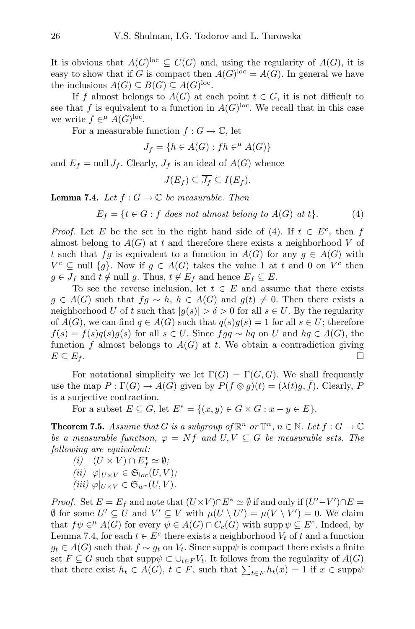It is obvious that  $A(G)^{loc} \subseteq C(G)$  and, using the regularity of  $A(G)$ , it is easy to show that if G is compact then  $A(G)^{loc} = A(G)$ . In general we have the inclusions  $A(G) \subseteq B(G) \subseteq A(G)^{loc}$ .

If f almost belongs to  $A(G)$  at each point  $t \in G$ , it is not difficult to see that f is equivalent to a function in  $A(G)$ <sup>loc</sup>. We recall that in this case we write  $f \in^{\mu} A(G)^{loc}$ .

For a measurable function  $f: G \to \mathbb{C}$ , let

$$
J_f = \{ h \in A(G) : fh \in H^{\mu} A(G) \}
$$

and  $E_f = \text{null } J_f$ . Clearly,  $J_f$  is an ideal of  $A(G)$  whence

$$
J(E_f) \subseteq \overline{J_f} \subseteq I(E_f).
$$

**Lemma 7.4.** Let  $f: G \to \mathbb{C}$  be measurable. Then

$$
E_f = \{ t \in G : f \text{ does not almost belong to } A(G) \text{ at } t \}. \tag{4}
$$

*Proof.* Let E be the set in the right hand side of (4). If  $t \in E^c$ , then f almost belong to  $A(G)$  at t and therefore there exists a neighborhood V of t such that fg is equivalent to a function in  $A(G)$  for any  $q \in A(G)$  with  $V^c \subseteq \text{null } \{g\}.$  Now if  $g \in A(G)$  takes the value 1 at t and 0 on  $V^c$  then  $g \in J_f$  and  $t \notin \text{null } g$ . Thus,  $t \notin E_f$  and hence  $E_f \subseteq E$ .

To see the reverse inclusion, let  $t \in E$  and assume that there exists  $g \in A(G)$  such that  $fg \sim h$ ,  $h \in A(G)$  and  $g(t) \neq 0$ . Then there exists a neighborhood U of t such that  $|q(s)| > \delta > 0$  for all  $s \in U$ . By the regularity of  $A(G)$ , we can find  $q \in A(G)$  such that  $q(s)g(s) = 1$  for all  $s \in U$ ; therefore  $f(s) = f(s)q(s)g(s)$  for all  $s \in U$ . Since  $f\circ q \sim hq$  on U and  $hq \in A(G)$ , the function f almost belongs to  $A(G)$  at t. We obtain a contradiction giving  $E \subseteq E_f$ .

For notational simplicity we let  $\Gamma(G) = \Gamma(G, G)$ . We shall frequently use the map  $P : \Gamma(G) \to A(G)$  given by  $P(f \otimes g)(t) = (\lambda(t)g, \overline{f})$ . Clearly, P is a surjective contraction.

For a subset  $E \subseteq G$ , let  $E^* = \{(x, y) \in G \times G : x - y \in E\}.$ 

**Theorem 7.5.** Assume that G is a subgroup of  $\mathbb{R}^n$  or  $\mathbb{T}^n$ ,  $n \in \mathbb{N}$ . Let  $f: G \to \mathbb{C}$ be a measurable function,  $\varphi = Nf$  and  $U, V \subseteq G$  be measurable sets. The following are equivalent:

(*i*)  $(U \times V) \cap E_f^* \simeq \emptyset$ ; (ii)  $\varphi|_{U\times V} \in \mathfrak{S}_{loc}(U,V);$ (iii)  $\varphi|_{U\times V} \in \mathfrak{S}_{w^*}(U, V)$ .

*Proof.* Set  $E = E_f$  and note that  $(U \times V) \cap E^* \simeq \emptyset$  if and only if  $(U' - V') \cap E =$  $\emptyset$  for some  $U' \subseteq U$  and  $V' \subseteq V$  with  $\mu(U \setminus U') = \mu(V \setminus V') = 0$ . We claim that  $f\psi \in H^{\alpha}(G)$  for every  $\psi \in A(G) \cap C_c(G)$  with supp  $\psi \subseteq E^c$ . Indeed, by Lemma 7.4, for each  $t \in E^c$  there exists a neighborhood  $V_t$  of t and a function  $g_t \in A(G)$  such that  $f \sim g_t$  on  $V_t$ . Since supp $\psi$  is compact there exists a finite set  $F \subseteq G$  such that supp $\psi \subset \bigcup_{t \in F} V_t$ . It follows from the regularity of  $A(G)$ that there exist  $h_t \in A(G)$ ,  $t \in F$ , such that  $\sum_{t \in F} h_t(x) = 1$  if  $x \in \text{supp}\psi$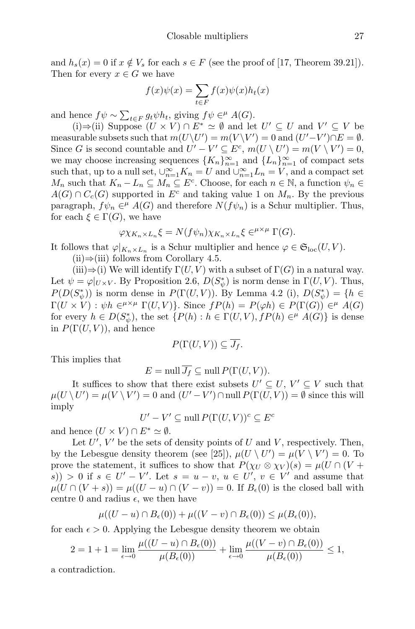and  $h_s(x) = 0$  if  $x \notin V_s$  for each  $s \in F$  (see the proof of [17, Theorem 39.21]). Then for every  $x \in G$  we have

$$
f(x)\psi(x) = \sum_{t \in F} f(x)\psi(x)h_t(x)
$$

and hence  $f\psi \sim \sum_{t \in F} g_t \psi h_t$ , giving  $f\psi \in H^{\mu} A(G)$ .

(i)⇒(ii) Suppose  $(U \times V) \cap E^* \simeq \emptyset$  and let  $U' \subseteq U$  and  $V' \subseteq V$  be measurable subsets such that  $m(U\setminus U') = m(V\setminus V') = 0$  and  $(U'-V') \cap E = \emptyset$ . Since G is second countable and  $U' - V' \subseteq E^c$ ,  $m(U \setminus U') = m(V \setminus V') = 0$ , we may choose increasing sequences  $\{K_n\}_{n=1}^{\infty}$  and  $\{L_n\}_{n=1}^{\infty}$  of compact sets such that, up to a null set,  $\bigcup_{n=1}^{\infty} K_n = U$  and  $\bigcup_{n=1}^{\infty} L_n = V$ , and a compact set  $M_n$  such that  $K_n - L_n \subseteq M_n \subseteq E^c$ . Choose, for each  $n \in \mathbb{N}$ , a function  $\psi_n \in$  $A(G) \cap C_c(G)$  supported in  $E^c$  and taking value 1 on  $M_n$ . By the previous paragraph,  $f\psi_n \in H^{\mu}(G)$  and therefore  $N(f\psi_n)$  is a Schur multiplier. Thus, for each  $\xi \in \Gamma(G)$ , we have

$$
\varphi \chi_{K_n \times L_n} \xi = N(f \psi_n) \chi_{K_n \times L_n} \xi \in^{\mu \times \mu} \Gamma(G).
$$

It follows that  $\varphi|_{K_n \times L_n}$  is a Schur multiplier and hence  $\varphi \in \mathfrak{S}_{loc}(U, V)$ .

 $(ii) \Rightarrow (iii)$  follows from Corollary 4.5.

 $(iii) \Rightarrow (i)$  We will identify  $\Gamma(U, V)$  with a subset of  $\Gamma(G)$  in a natural way. Let  $\psi = \varphi|_{U \times V}$ . By Proposition 2.6,  $D(S^*_{\psi})$  is norm dense in  $\Gamma(U, V)$ . Thus,  $P(D(S^*_{\psi}))$  is norm dense in  $P(\Gamma(U,V))$ . By Lemma 4.2 (i),  $D(S^*_{\psi}) = \{h \in$  $\Gamma(U \times V) : \psi h \in^{\mu \times \mu} \Gamma(U, V)$ . Since  $f(P(h) = P(\varphi h) \in P(\Gamma(G)) \in^{\mu} A(G)$ for every  $h \in D(S^*_{\psi})$ , the set  $\{P(h) : h \in \Gamma(U, V), fP(h) \in^{\mu} A(G)\}$  is dense in  $P(\Gamma(U, V))$ , and hence

$$
P(\Gamma(U,V)) \subseteq \overline{J_f}.
$$

This implies that

$$
E = \text{null}\,\overline{J_f} \subseteq \text{null}\,P(\Gamma(U,V)).
$$

It suffices to show that there exist subsets  $U' \subseteq U, V' \subseteq V$  such that  $\mu(U \setminus U') = \mu(V \setminus V') = 0$  and  $(U' - V') \cap \text{null } P(\Gamma(U, V)) = \emptyset$  since this will imply

$$
U' - V' \subseteq \text{null } P(\Gamma(U, V))^c \subseteq E^c
$$

and hence  $(U \times V) \cap E^* \simeq \emptyset$ .

Let  $U'$ ,  $V'$  be the sets of density points of U and V, respectively. Then, by the Lebesgue density theorem (see [25]),  $\mu(U \setminus U') = \mu(V \setminus V') = 0$ . To prove the statement, it suffices to show that  $P(\chi_U \otimes \chi_V)(s) = \mu(U \cap (V +$ s) > 0 if  $s \in U' - V'$ . Let  $s = u - v$ ,  $u \in U'$ ,  $v \in V'$  and assume that  $\mu(U \cap (V + s)) = \mu((U - u) \cap (V - v)) = 0$ . If  $B_{\epsilon}(0)$  is the closed ball with centre 0 and radius  $\epsilon$ , we then have

$$
\mu((U - u) \cap B_{\epsilon}(0)) + \mu((V - v) \cap B_{\epsilon}(0)) \leq \mu(B_{\epsilon}(0)),
$$

for each  $\epsilon > 0$ . Applying the Lebesgue density theorem we obtain

$$
2 = 1 + 1 = \lim_{\epsilon \to 0} \frac{\mu((U - u) \cap B_{\epsilon}(0))}{\mu(B_{\epsilon}(0))} + \lim_{\epsilon \to 0} \frac{\mu((V - v) \cap B_{\epsilon}(0))}{\mu(B_{\epsilon}(0))} \le 1,
$$

a contradiction.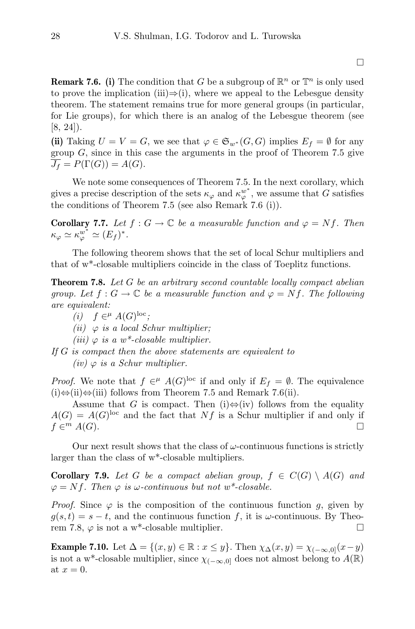**Remark 7.6.** (i) The condition that G be a subgroup of  $\mathbb{R}^n$  or  $\mathbb{T}^n$  is only used to prove the implication (iii) $\Rightarrow$ (i), where we appeal to the Lebesgue density theorem. The statement remains true for more general groups (in particular, for Lie groups), for which there is an analog of the Lebesgue theorem (see [8, 24]).

(ii) Taking  $U = V = G$ , we see that  $\varphi \in \mathfrak{S}_{w^*}(G, G)$  implies  $E_f = \emptyset$  for any group  $G$ , since in this case the arguments in the proof of Theorem 7.5 give  $\overline{J_f} = P(\Gamma(G)) = A(G).$ 

We note some consequences of Theorem 7.5. In the next corollary, which gives a precise description of the sets  $\kappa_{\varphi}$  and  $\kappa_{\varphi}^{w^*}$ , we assume that G satisfies the conditions of Theorem 7.5 (see also Remark 7.6 (i)).

**Corollary 7.7.** Let  $f: G \to \mathbb{C}$  be a measurable function and  $\varphi = Nf$ . Then  $\kappa_{\varphi} \simeq \kappa_{\varphi}^{w^*} \simeq (E_f)^*.$ 

The following theorem shows that the set of local Schur multipliers and that of w\*-closable multipliers coincide in the class of Toeplitz functions.

**Theorem 7.8.** Let  $G$  be an arbitrary second countable locally compact abelian group. Let  $f: G \to \mathbb{C}$  be a measurable function and  $\varphi = Nf$ . The following are equivalent:

(i)  $f \in^{\mu} A(G)^{\text{loc}};$ 

(ii)  $\varphi$  is a local Schur multiplier;

(iii)  $\varphi$  is a w<sup>\*</sup>-closable multiplier.

If G is compact then the above statements are equivalent to  $(iv)$   $\varphi$  is a Schur multiplier.

*Proof.* We note that  $f \in H^{\mu}$  A(G)<sup>loc</sup> if and only if  $E_f = \emptyset$ . The equivalence  $(i)$ ⇔ $(ii)$  ⇔ $(iii)$  follows from Theorem 7.5 and Remark 7.6(ii).

Assume that G is compact. Then (i) $\Leftrightarrow$  (iv) follows from the equality  $A(G) = A(G)^{loc}$  and the fact that Nf is a Schur multiplier if and only if  $f \in^m A(G)$ .  $\Box$   $A(G)$ .

Our next result shows that the class of  $\omega$ -continuous functions is strictly larger than the class of w\*-closable multipliers.

**Corollary 7.9.** Let G be a compact abelian group,  $f \in C(G) \setminus A(G)$  and  $\varphi = Nf$ . Then  $\varphi$  is  $\omega$ -continuous but not w<sup>\*</sup>-closable.

*Proof.* Since  $\varphi$  is the composition of the continuous function g, given by  $g(s,t) = s-t$ , and the continuous function f, it is  $\omega$ -continuous. By Theorem 7.8,  $\varphi$  is not a w<sup>\*</sup>-closable multiplier.

**Example 7.10.** Let  $\Delta = \{(x, y) \in \mathbb{R} : x \leq y\}$ . Then  $\chi_{\Delta}(x, y) = \chi_{(-\infty, 0]}(x - y)$ is not a w<sup>\*</sup>-closable multiplier, since  $\chi_{(-\infty,0]}$  does not almost belong to  $A(\mathbb{R})$ at  $x = 0$ .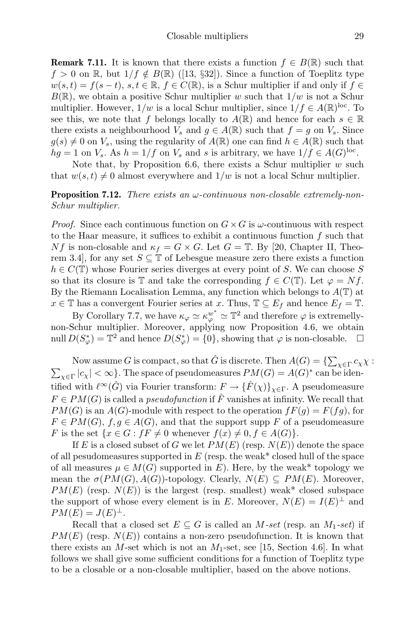**Remark 7.11.** It is known that there exists a function  $f \in B(\mathbb{R})$  such that  $f > 0$  on R, but  $1/f \notin B(\mathbb{R})$  ([13, §32]). Since a function of Toeplitz type  $w(s,t) = f(s-t), s,t \in \mathbb{R}, f \in C(\mathbb{R}),$  is a Schur multiplier if and only if  $f \in$  $B(\mathbb{R})$ , we obtain a positive Schur multiplier w such that  $1/w$  is not a Schur multiplier. However,  $1/w$  is a local Schur multiplier, since  $1/f \in A(\mathbb{R})^{\text{loc}}$ . To see this, we note that f belongs locally to  $A(\mathbb{R})$  and hence for each  $s \in \mathbb{R}$ there exists a neighbourhood  $V_s$  and  $g \in A(\mathbb{R})$  such that  $f = g$  on  $V_s$ . Since  $g(s) \neq 0$  on  $V_s$ , using the regularity of  $A(\mathbb{R})$  one can find  $h \in A(\mathbb{R})$  such that  $hg = 1$  on  $V_s$ . As  $h = 1/f$  on  $V_s$  and s is arbitrary, we have  $1/f \in A(G)^{loc}$ .

Note that, by Proposition 6.6, there exists a Schur multiplier  $w$  such that  $w(s, t) \neq 0$  almost everywhere and  $1/w$  is not a local Schur multiplier.

**Proposition 7.12.** There exists an  $\omega$ -continuous non-closable extremely-non-Schur multiplier.

*Proof.* Since each continuous function on  $G \times G$  is  $\omega$ -continuous with respect to the Haar measure, it suffices to exhibit a continuous function  $f$  such that Nf is non-closable and  $\kappa_f = G \times G$ . Let  $G = \mathbb{T}$ . By [20, Chapter II, Theorem 3.4, for any set  $S \subseteq \mathbb{T}$  of Lebesgue measure zero there exists a function  $h \in C(\mathbb{T})$  whose Fourier series diverges at every point of S. We can choose S so that its closure is T and take the corresponding  $f \in C(T)$ . Let  $\varphi = Nf$ . By the Riemann Localisation Lemma, any function which belongs to  $A(T)$  at  $x \in \mathbb{T}$  has a convergent Fourier series at x. Thus,  $\mathbb{T} \subseteq E_f$  and hence  $E_f = \mathbb{T}$ .

By Corollary 7.7, we have  $\kappa_{\varphi} \simeq \kappa_{\varphi}^{w^*} \simeq \mathbb{T}^2$  and therefore  $\varphi$  is extremellynon-Schur multiplier. Moreover, applying now Proposition 4.6, we obtain null  $D(S^*_{\varphi}) = \mathbb{T}^2$  and hence  $D(S^*_{\varphi}) = \{0\}$ , showing that  $\varphi$  is non-closable.  $\Box$ 

Now assume G is compact, so that  $\hat{G}$  is discrete. Then  $A(G) = \{ \sum_{\chi \in \Gamma} c_{\chi} \chi :$  $\sum_{\chi \in \Gamma} |c_{\chi}| < \infty$ . The space of pseudomeasures  $PM(G) = A(G)^*$  can be identified with  $\ell^{\infty}(\hat{G})$  via Fourier transform:  $F \to {\{\hat{F}(\chi)\}}_{\chi \in \Gamma}$ . A pseudomeasure  $F \in PM(G)$  is called a *pseudofunction* if  $\hat{F}$  vanishes at infinity. We recall that  $PM(G)$  is an  $A(G)$ -module with respect to the operation  $fF(g) = F(fg)$ , for  $F \in PM(G), f, g \in A(G)$ , and that the support supp F of a pseudomeasure F is the set  $\{x \in G : fF \neq 0 \text{ whenever } f(x) \neq 0, f \in A(G)\}.$ 

If E is a closed subset of G we let  $PM(E)$  (resp.  $N(E)$ ) denote the space of all pesudomeasures supported in  $E$  (resp. the weak\* closed hull of the space of all measures  $\mu \in M(G)$  supported in E). Here, by the weak\* topology we mean the  $\sigma(PM(G), A(G))$ -topology. Clearly,  $N(E) \subseteq PM(E)$ . Moreover,  $PM(E)$  (resp.  $N(E)$ ) is the largest (resp. smallest) weak\* closed subspace the support of whose every element is in E. Moreover,  $N(E) = I(E)^{\perp}$  and  $PM(E) = J(E)^{\perp}.$ 

Recall that a closed set  $E \subseteq G$  is called an M-set (resp. an  $M_1$ -set) if  $PM(E)$  (resp.  $N(E)$ ) contains a non-zero pseudofunction. It is known that there exists an M-set which is not an  $M_1$ -set, see [15, Section 4.6]. In what follows we shall give some sufficient conditions for a function of Toeplitz type to be a closable or a non-closable multiplier, based on the above notions.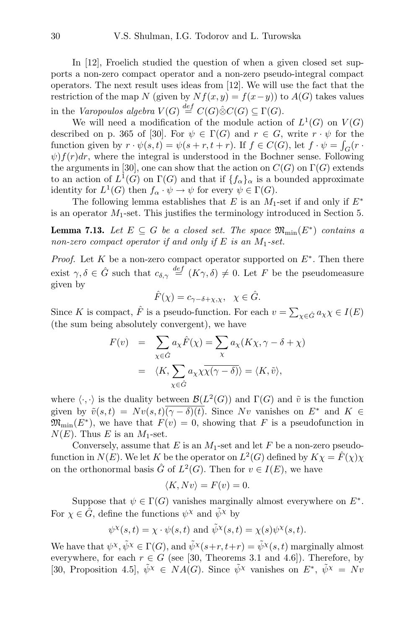In [12], Froelich studied the question of when a given closed set supports a non-zero compact operator and a non-zero pseudo-integral compact operators. The next result uses ideas from [12]. We will use the fact that the restriction of the map N (given by  $Nf(x, y) = f(x-y)$ ) to  $A(G)$  takes values in the Varopoulos algebra  $V(G) \stackrel{def}{=} C(G) \hat{\otimes} C(G) \subseteq \Gamma(G)$ .

We will need a modification of the module action of  $L^1(G)$  on  $V(G)$ described on p. 365 of [30]. For  $\psi \in \Gamma(G)$  and  $r \in G$ , write  $r \cdot \psi$  for the function given by  $r \cdot \psi(s,t) = \psi(s+r,t+r)$ . If  $f \in C(G)$ , let  $f \cdot \psi = \int_G (r \cdot \psi(s))$  $\psi$ f(r)dr, where the integral is understood in the Bochner sense. Following the arguments in [30], one can show that the action on  $C(G)$  on  $\Gamma(G)$  extends to an action of  $L^1(G)$  on  $\Gamma(G)$  and that if  $\{f_\alpha\}_\alpha$  is a bounded approximate identity for  $L^1(G)$  then  $f_{\alpha} \cdot \psi \to \psi$  for every  $\psi \in \Gamma(G)$ .

The following lemma establishes that E is an  $M_1$ -set if and only if  $E^*$ is an operator  $M_1$ -set. This justifies the terminology introduced in Section 5.

**Lemma 7.13.** Let  $E \subseteq G$  be a closed set. The space  $\mathfrak{M}_{\text{min}}(E^*)$  contains a non-zero compact operator if and only if E is an  $M_1$ -set.

*Proof.* Let K be a non-zero compact operator supported on  $E^*$ . Then there exist  $\gamma, \delta \in \hat{G}$  such that  $c_{\delta,\gamma} \stackrel{def}{=} (K\gamma, \delta) \neq 0$ . Let F be the pseudomeasure given by

$$
\hat{F}(\chi) = c_{\gamma - \delta + \chi, \chi}, \ \ \chi \in \hat{G}.
$$

Since K is compact,  $\hat{F}$  is a pseudo-function. For each  $v = \sum_{\chi \in \hat{G}} a_{\chi} \chi \in I(E)$ (the sum being absolutely convergent), we have

$$
F(v) = \sum_{\chi \in \hat{G}} a_{\chi} \hat{F}(\chi) = \sum_{\chi} a_{\chi} (K\chi, \gamma - \delta + \chi)
$$
  

$$
= \langle K, \sum_{\chi \in \hat{G}} a_{\chi} \chi \overline{\chi(\gamma - \delta)} \rangle = \langle K, \tilde{v} \rangle,
$$

where  $\langle \cdot, \cdot \rangle$  is the duality between  $\mathcal{B}(L^2(G))$  and  $\Gamma(G)$  and  $\tilde{v}$  is the function given by  $\tilde{v}(s,t) = Nv(s,t)\overline{(\gamma-\delta)(t)}$ . Since Nv vanishes on  $E^*$  and  $K \in$  $\mathfrak{M}_{\text{min}}(E^*)$ , we have that  $F(v) = 0$ , showing that F is a pseudofunction in  $N(E)$ . Thus E is an  $M_1$ -set.

Conversely, assume that  $E$  is an  $M_1$ -set and let  $F$  be a non-zero pseudofunction in  $N(E)$ . We let K be the operator on  $L^2(G)$  defined by  $K\chi = \hat{F}(\chi)\chi$ on the orthonormal basis  $\hat{G}$  of  $L^2(G)$ . Then for  $v \in I(E)$ , we have

$$
\langle K, Nv \rangle = F(v) = 0.
$$

Suppose that  $\psi \in \Gamma(G)$  vanishes marginally almost everywhere on  $E^*$ . For  $\chi \in \hat{G}$ , define the functions  $\psi^{\chi}$  and  $\tilde{\psi}^{\chi}$  by

$$
\psi^{\chi}(s,t) = \chi \cdot \psi(s,t)
$$
 and  $\tilde{\psi}^{\chi}(s,t) = \chi(s)\psi^{\chi}(s,t)$ .

We have that  $\psi^\chi, \tilde{\psi}^\chi \in \Gamma(G)$ , and  $\tilde{\psi}^\chi(s+r,t+r) = \tilde{\psi}^\chi(s,t)$  marginally almost everywhere, for each  $r \in G$  (see [30, Theorems 3.1 and 4.6]). Therefore, by [30, Proposition 4.5],  $\tilde{\psi}^{\chi} \in NA(G)$ . Since  $\tilde{\psi}^{\chi}$  vanishes on  $E^*, \tilde{\psi}^{\chi} = Nv$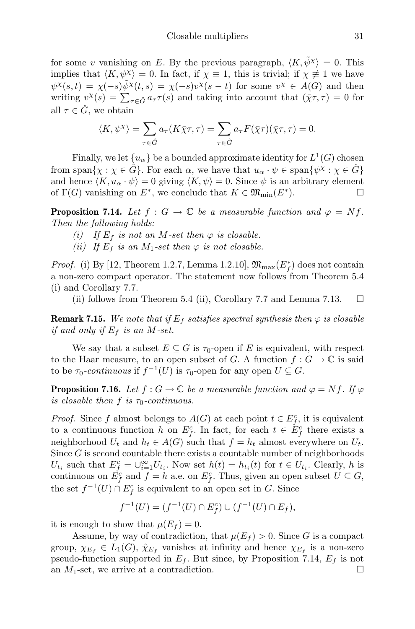for some v vanishing on E. By the previous paragraph,  $\langle K, \tilde{\psi}^{\chi} \rangle = 0$ . This implies that  $\langle K, \psi^{\chi} \rangle = 0$ . In fact, if  $\chi \equiv 1$ , this is trivial; if  $\chi \not\equiv 1$  we have  $\psi^{\chi}(s,t) = \chi(-s)\tilde{\psi}^{\chi}(t,s) = \chi(-s)\nu^{\chi}(s-t)$  for some  $\nu^{\chi} \in A(G)$  and then writing  $v^{\chi}(s) = \sum_{\tau \in \hat{G}} a_{\tau} \tau(s)$  and taking into account that  $(\bar{\chi}\tau, \tau) = 0$  for all  $\tau \in \hat{G}$ , we obtain

$$
\langle K, \psi^{\chi} \rangle = \sum_{\tau \in \hat{G}} a_{\tau} (K \bar{\chi} \tau, \tau) = \sum_{\tau \in \hat{G}} a_{\tau} F(\bar{\chi} \tau) (\bar{\chi} \tau, \tau) = 0.
$$

Finally, we let  $\{u_{\alpha}\}\$ be a bounded approximate identity for  $L^{1}(G)$  chosen from span $\{\chi : \chi \in \hat{G}\}\$ . For each  $\alpha$ , we have that  $u_{\alpha} \cdot \psi \in \text{span}\{\psi^{\chi} : \chi \in \hat{G}\}\$ and hence  $\langle K, u_{\alpha} \cdot \psi \rangle = 0$  giving  $\langle K, \psi \rangle = 0$ . Since  $\psi$  is an arbitrary element of  $\Gamma(G)$  vanishing on  $E^*$ , we conclude that  $K \in \mathfrak{M}_{\text{min}}(E^*$ ).

**Proposition 7.14.** Let  $f : G \to \mathbb{C}$  be a measurable function and  $\varphi = Nf$ . Then the following holds:

- (i) If  $E_f$  is not an M-set then  $\varphi$  is closable.
- (ii) If  $E_f$  is an M<sub>1</sub>-set then  $\varphi$  is not closable.

*Proof.* (i) By [12, Theorem 1.2.7, Lemma 1.2.10],  $\mathfrak{M}_{\max}(E_f^*)$  does not contain a non-zero compact operator. The statement now follows from Theorem 5.4 (i) and Corollary 7.7.

(ii) follows from Theorem 5.4 (ii), Corollary 7.7 and Lemma 7.13.  $\Box$ 

**Remark 7.15.** We note that if  $E_f$  satisfies spectral synthesis then  $\varphi$  is closable if and only if  $E_f$  is an M-set.

We say that a subset  $E \subseteq G$  is  $\tau_0$ -open if E is equivalent, with respect to the Haar measure, to an open subset of G. A function  $f: G \to \mathbb{C}$  is said to be  $\tau_0$ -continuous if  $f^{-1}(U)$  is  $\tau_0$ -open for any open  $U \subseteq G$ .

**Proposition 7.16.** Let  $f: G \to \mathbb{C}$  be a measurable function and  $\varphi = Nf$ . If  $\varphi$ is closable then f is  $\tau_0$ -continuous.

*Proof.* Since f almost belongs to  $A(G)$  at each point  $t \in E_f^c$ , it is equivalent to a continuous function h on  $E_f^c$ . In fact, for each  $t \in \check{E}_f^c$  there exists a neighborhood  $U_t$  and  $h_t \in A(G)$  such that  $f = h_t$  almost everywhere on  $U_t$ . Since G is second countable there exists a countable number of neighborhoods  $U_{t_i}$  such that  $E_f^c = \bigcup_{i=1}^{\infty} U_{t_i}$ . Now set  $h(t) = h_{t_i}(t)$  for  $t \in U_{t_i}$ . Clearly, h is continuous on  $\dot{E_f^c}$  and  $f = h$  a.e. on  $E_f^c$ . Thus, given an open subset  $U \subseteq G$ , the set  $f^{-1}(U) \cap E_f^c$  is equivalent to an open set in G. Since

$$
f^{-1}(U) = (f^{-1}(U) \cap E_f^c) \cup (f^{-1}(U) \cap E_f),
$$

it is enough to show that  $\mu(E_f) = 0$ .

Assume, by way of contradiction, that  $\mu(E_f) > 0$ . Since G is a compact group,  $\chi_{E_f} \in L_1(G)$ ,  $\hat{\chi}_{E_f}$  vanishes at infinity and hence  $\chi_{E_f}$  is a non-zero pseudo-function supported in  $E_f$ . But since, by Proposition 7.14,  $E_f$  is not an  $M_1$ -set, we arrive at a contradiction.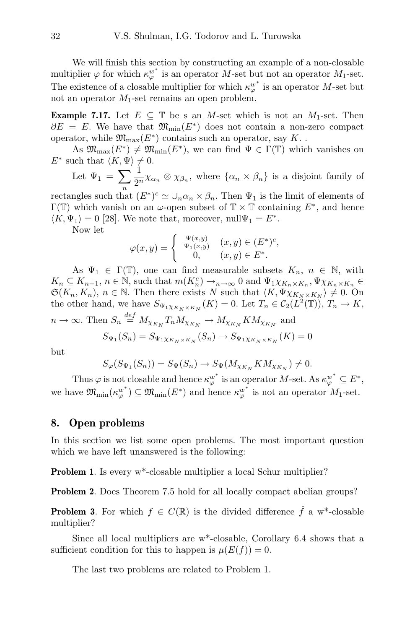We will finish this section by constructing an example of a non-closable multiplier  $\varphi$  for which  $\kappa_{\varphi}^{w^*}$  is an operator M-set but not an operator  $M_1$ -set. The existence of a closable multiplier for which  $\kappa_{\varphi}^{w^*}$  is an operator M-set but not an operator  $M_1$ -set remains an open problem.

**Example 7.17.** Let  $E \subseteq \mathbb{T}$  be s an M-set which is not an  $M_1$ -set. Then  $\partial E = E$ . We have that  $\mathfrak{M}_{\text{min}}(E^*)$  does not contain a non-zero compact operator, while  $\mathfrak{M}_{\mathrm{max}}(E^*)$  contains such an operator, say  $K.$  .

As  $\mathfrak{M}_{\max}(E^*) \neq \mathfrak{M}_{\min}(E^*)$ , we can find  $\Psi \in \Gamma(\mathbb{T})$  which vanishes on  $E^*$  such that  $\langle K, \Psi \rangle \neq 0$ .

Let  $\Psi_1 = \sum$ n 1  $\frac{1}{2^n}\chi_{\alpha_n}\otimes \chi_{\beta_n}$ , where  $\{\alpha_n\times \beta_n\}$  is a disjoint family of

rectangles such that  $(E^*)^c \simeq \bigcup_n \alpha_n \times \beta_n$ . Then  $\Psi_1$  is the limit of elements of  $\Gamma(\mathbb{T})$  which vanish on an  $\omega$ -open subset of  $\mathbb{T} \times \mathbb{T}$  containing  $E^*$ , and hence  $\langle K, \Psi_1 \rangle = 0$  [28]. We note that, moreover, null $\Psi_1 = E^*$ .

Now let

$$
\varphi(x,y) = \begin{cases} \frac{\Psi(x,y)}{\Psi_1(x,y)} & (x,y) \in (E^*)^c, \\ 0, & (x,y) \in E^*. \end{cases}
$$

As  $\Psi_1 \in \Gamma(\mathbb{T})$ , one can find measurable subsets  $K_n$ ,  $n \in \mathbb{N}$ , with  $K_n \subseteq K_{n+1}, n \in \mathbb{N}$ , such that  $m(K_n^c) \to_{n \to \infty} 0$  and  $\Psi_1 \chi_{K_n \times K_n}, \Psi \chi_{K_n \times K_n} \in$  $\mathfrak{S}(K_n, K_n)$ ,  $n \in \mathbb{N}$ . Then there exists N such that  $\langle K, \Psi \chi_{K_N \times K_N} \rangle \neq 0$ . On the other hand, we have  $S_{\Psi_1 \chi_{K_N \times K_N}}(K) = 0$ . Let  $T_n \in C_2(L^2(\mathbb{T}))$ ,  $T_n \to K$ ,  $n \to \infty$ . Then  $S_n \stackrel{def}{=} M_{\chi_{K_N}} T_n M_{\chi_{K_N}} \to M_{\chi_{K_N}} K M_{\chi_{K_N}}$  and

$$
S_{\Psi_1}(S_n) = S_{\Psi_1 \chi_{K_N \times K_N}}(S_n) \to S_{\Psi_1 \chi_{K_N \times K_N}}(K) = 0
$$

but

$$
S_{\varphi}(S_{\Psi_1}(S_n)) = S_{\Psi}(S_n) \to S_{\Psi}(M_{\chi_{K_N}} K M_{\chi_{K_N}}) \neq 0.
$$

Thus  $\varphi$  is not closable and hence  $\kappa_{\varphi}^{w^*}$  is an operator M-set. As  $\kappa_{\varphi}^{w^*} \subseteq E^*$ , we have  $\mathfrak{M}_{\text{min}}(\kappa_{\varphi}^{w^*}) \subseteq \mathfrak{M}_{\text{min}}(E^*)$  and hence  $\kappa_{\varphi}^{w^*}$  is not an operator  $M_1$ -set.

## 8. Open problems

In this section we list some open problems. The most important question which we have left unanswered is the following:

**Problem 1.** Is every w<sup>\*</sup>-closable multiplier a local Schur multiplier?

Problem 2. Does Theorem 7.5 hold for all locally compact abelian groups?

**Problem 3.** For which  $f \in C(\mathbb{R})$  is the divided difference  $\check{f}$  a w<sup>\*</sup>-closable multiplier?

Since all local multipliers are w\*-closable, Corollary 6.4 shows that a sufficient condition for this to happen is  $\mu(E(f)) = 0$ .

The last two problems are related to Problem 1.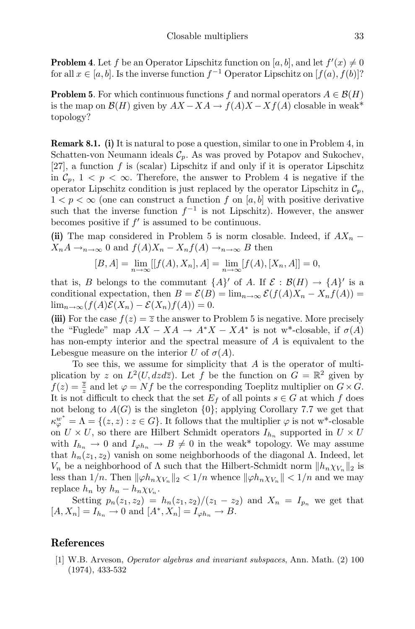**Problem 4**. Let f be an Operator Lipschitz function on [a, b], and let  $f'(x) \neq 0$ for all  $x \in [a, b]$ . Is the inverse function  $f^{-1}$  Operator Lipschitz on  $[f(a), f(b)]$ ?

**Problem 5.** For which continuous functions f and normal operators  $A \in \mathcal{B}(H)$ is the map on  $\mathcal{B}(H)$  given by  $AX - XA \rightarrow f(A)X - Xf(A)$  closable in weak\* topology?

**Remark 8.1.** (i) It is natural to pose a question, similar to one in Problem 4, in Schatten-von Neumann ideals  $\mathcal{C}_p$ . As was proved by Potapov and Sukochev, [27], a function  $f$  is (scalar) Lipschitz if and only if it is operator Lipschitz in  $\mathcal{C}_p$ ,  $1 < p < \infty$ . Therefore, the answer to Problem 4 is negative if the operator Lipschitz condition is just replaced by the operator Lipschitz in  $\mathcal{C}_p$ ,  $1 < p < \infty$  (one can construct a function f on [a, b] with positive derivative such that the inverse function  $f^{-1}$  is not Lipschitz). However, the answer becomes positive if  $f'$  is assumed to be continuous.

(ii) The map considered in Problem 5 is norm closable. Indeed, if  $AX_n$  –  $X_nA \to_{n \to \infty} 0$  and  $f(A)X_n - X_nf(A) \to_{n \to \infty} B$  then

$$
[B, A] = \lim_{n \to \infty} [[f(A), X_n], A] = \lim_{n \to \infty} [f(A), [X_n, A]] = 0,
$$

that is, B belongs to the commutant  $\{A\}'$  of A. If  $\mathcal{E} : \mathcal{B}(H) \to \{A\}'$  is a conditional expectation, then  $B = \mathcal{E}(B) = \lim_{n\to\infty} \mathcal{E}(f(A)X_n - X_nf(A)) =$  $\lim_{n\to\infty}(f(A)\mathcal{E}(X_n)-\mathcal{E}(X_n)f(A))=0.$ 

(iii) For the case  $f(z) = \overline{z}$  the answer to Problem 5 is negative. More precisely the "Fuglede" map  $AX - XA \rightarrow A^*X - XA^*$  is not w<sup>\*</sup>-closable, if  $\sigma(A)$ has non-empty interior and the spectral measure of A is equivalent to the Lebesgue measure on the interior U of  $\sigma(A)$ .

To see this, we assume for simplicity that  $A$  is the operator of multiplication by z on  $L^2(U, dz d\overline{z})$ . Let f be the function on  $G = \mathbb{R}^2$  given by  $f(z) = \frac{\overline{z}}{z}$  and let  $\varphi = Nf$  be the corresponding Toeplitz multiplier on  $G \times G$ . It is not difficult to check that the set  $E_f$  of all points  $s \in G$  at which f does not belong to  $A(G)$  is the singleton  $\{0\}$ ; applying Corollary 7.7 we get that  $\kappa_{\varphi}^{w^*} = \Lambda = \{(z, z) : z \in G\}$ . It follows that the multiplier  $\varphi$  is not w<sup>\*</sup>-closable on  $U \times U$ , so there are Hilbert Schmidt operators  $I_{h_n}$  supported in  $U \times U$ with  $I_{h_n} \to 0$  and  $I_{\varphi h_n} \to B \neq 0$  in the weak\* topology. We may assume that  $h_n(z_1, z_2)$  vanish on some neighborhoods of the diagonal  $\Lambda$ . Indeed, let  $V_n$  be a neighborhood of  $\Lambda$  such that the Hilbert-Schmidt norm  $||h_n \chi_{V_n}||_2$  is less than  $1/n$ . Then  $\|\varphi h_n \chi_{V_n}\|_2 < 1/n$  whence  $\|\varphi h_n \chi_{V_n}\| < 1/n$  and we may replace  $h_n$  by  $h_n - h_n \chi_{V_n}$ .

Setting  $p_n(z_1, z_2) = h_n(z_1, z_2)/(z_1 - z_2)$  and  $X_n = I_{p_n}$  we get that  $[A, X_n] = I_{h_n} \to 0$  and  $[A^*, X_n] = I_{\varphi h_n} \to B$ .

## References

[1] W.B. Arveson, Operator algebras and invariant subspaces, Ann. Math. (2) 100 (1974), 433-532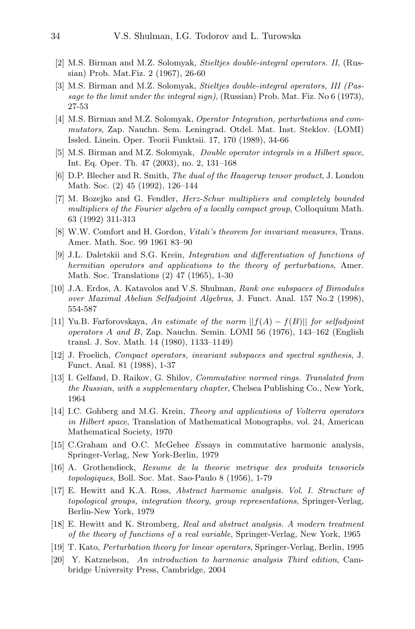- [2] M.S. Birman and M.Z. Solomyak, Stieltjes double-integral operators. II, (Russian) Prob. Mat.Fiz. 2 (1967), 26-60
- [3] M.S. Birman and M.Z. Solomyak, Stieltjes double-integral operators, III (Passage to the limit under the integral sign), (Russian) Prob. Mat. Fiz. No 6 (1973), 27-53
- [4] M.S. Birman and M.Z. Solomyak, Operator Integration, perturbations and commutators, Zap. Nauchn. Sem. Leningrad. Otdel. Mat. Inst. Steklov. (LOMI) Issled. Linein. Oper. Teorii Funktsii. 17, 170 (1989), 34-66
- [5] M.S. Birman and M.Z. Solomyak, Double operator integrals in a Hilbert space, Int. Eq. Oper. Th. 47 (2003), no. 2, 131–168
- [6] D.P. Blecher and R. Smith, The dual of the Haagerup tensor product, J. London Math. Soc. (2) 45 (1992), 126–144
- [7] M. Bozejko and G. Fendler, Herz-Schur multipliers and completely bounded multipliers of the Fourier algebra of a locally compact group, Colloquium Math. 63 (1992) 311-313
- [8] W.W. Comfort and H. Gordon, *Vitali's theorem for invariant measures*, Trans. Amer. Math. Soc. 99 1961 83–90
- [9] J.L. Daletskii and S.G. Krein, Integration and differentiation of functions of hermitian operators and applications to the theory of perturbations, Amer. Math. Soc. Translations (2) 47 (1965), 1-30
- [10] J.A. Erdos, A. Katavolos and V.S. Shulman, Rank one subspaces of Bimodules over Maximal Abelian Selfadjoint Algebras, J. Funct. Anal. 157 No.2 (1998), 554-587
- [11] Yu.B. Farforovskaya, An estimate of the norm  $||f(A) f(B)||$  for selfadjoint operators A and B, Zap. Nauchn. Semin. LOMI 56 (1976), 143–162 (English transl. J. Sov. Math. 14 (1980), 1133–1149)
- [12] J. Froelich, Compact operators, invariant subspaces and spectral synthesis, J. Funct. Anal. 81 (1988), 1-37
- [13] I. Gelfand, D. Raikov, G. Shilov, Commutative normed rings. Translated from the Russian, with a supplementary chapter, Chelsea Publishing Co., New York, 1964
- [14] I.C. Gohberg and M.G. Krein, Theory and applications of Volterra operators in Hilbert space, Translation of Mathematical Monographs, vol. 24, American Mathematical Society, 1970
- [15] C.Graham and O.C. McGehee Essays in commutative harmonic analysis, Springer-Verlag, New York-Berlin, 1979
- [16] A. Grothendieck, Resume de la theorie metrique des produits tensoriels topologiques, Boll. Soc. Mat. Sao-Paulo 8 (1956), 1-79
- [17] E. Hewitt and K.A. Ross, Abstract harmonic analysis. Vol. I. Structure of topological groups, integration theory, group representations, Springer-Verlag, Berlin-New York, 1979
- [18] E. Hewitt and K. Stromberg, Real and abstract analysis. A modern treatment of the theory of functions of a real variable, Springer-Verlag, New York, 1965
- [19] T. Kato, Perturbation theory for linear operators, Springer-Verlag, Berlin, 1995
- [20] Y. Katznelson, An introduction to harmonic analysis Third edition, Cambridge University Press, Cambridge, 2004